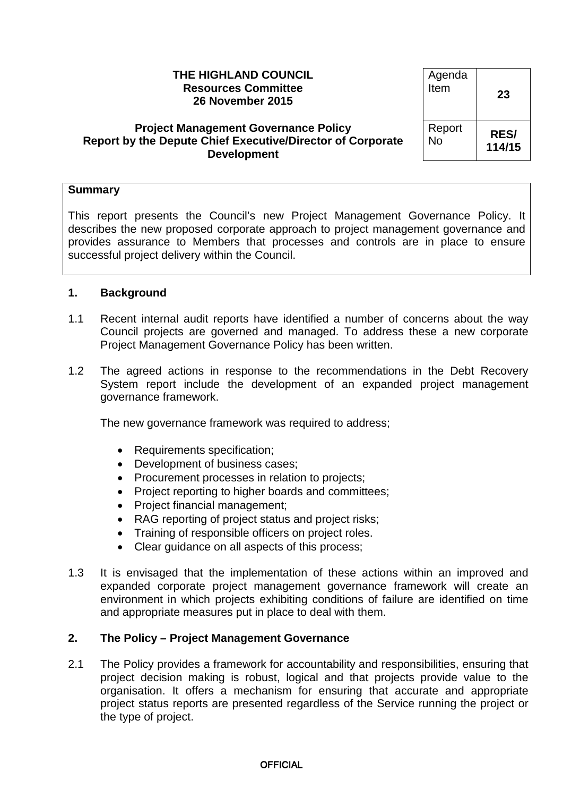#### **THE HIGHLAND COUNCIL Resources Committee 26 November 2015**

#### **Project Management Governance Policy Report by the Depute Chief Executive/Director of Corporate Development**

Agenda Item  $\begin{array}{|c|c|c|c|c|}\n\hline\n23\n\end{array}$ Report No **RES/ 114/15**

#### **Summary**

This report presents the Council's new Project Management Governance Policy. It describes the new proposed corporate approach to project management governance and provides assurance to Members that processes and controls are in place to ensure successful project delivery within the Council.

#### **1. Background**

- 1.1 Recent internal audit reports have identified a number of concerns about the way Council projects are governed and managed. To address these a new corporate Project Management Governance Policy has been written.
- 1.2 The agreed actions in response to the recommendations in the Debt Recovery System report include the development of an expanded project management governance framework.

The new governance framework was required to address;

- Requirements specification;
- Development of business cases;
- Procurement processes in relation to projects;
- Project reporting to higher boards and committees;
- Project financial management;
- RAG reporting of project status and project risks;
- Training of responsible officers on project roles.
- Clear guidance on all aspects of this process;
- 1.3 It is envisaged that the implementation of these actions within an improved and expanded corporate project management governance framework will create an environment in which projects exhibiting conditions of failure are identified on time and appropriate measures put in place to deal with them.

#### **2. The Policy – Project Management Governance**

2.1 The Policy provides a framework for accountability and responsibilities, ensuring that project decision making is robust, logical and that projects provide value to the organisation. It offers a mechanism for ensuring that accurate and appropriate project status reports are presented regardless of the Service running the project or the type of project.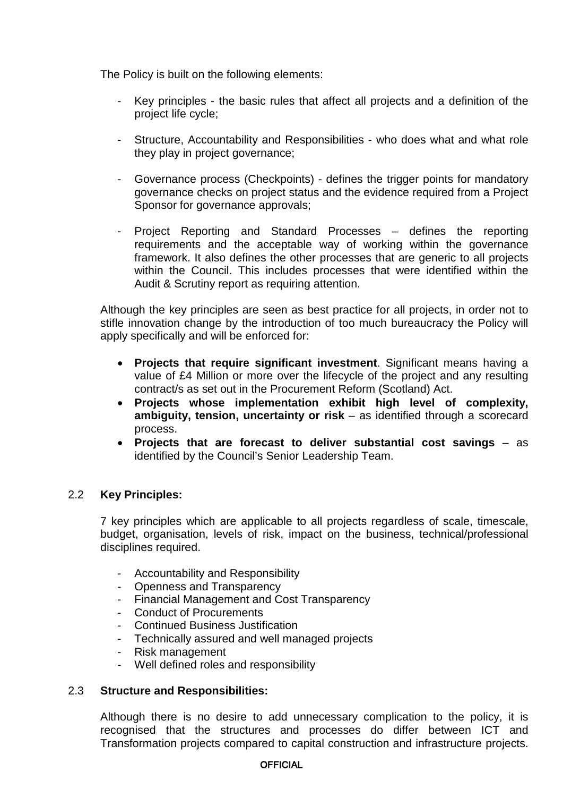The Policy is built on the following elements:

- Key principles the basic rules that affect all projects and a definition of the project life cycle;
- Structure, Accountability and Responsibilities who does what and what role they play in project governance;
- Governance process (Checkpoints) defines the trigger points for mandatory governance checks on project status and the evidence required from a Project Sponsor for governance approvals;
- Project Reporting and Standard Processes defines the reporting requirements and the acceptable way of working within the governance framework. It also defines the other processes that are generic to all projects within the Council. This includes processes that were identified within the Audit & Scrutiny report as requiring attention.

Although the key principles are seen as best practice for all projects, in order not to stifle innovation change by the introduction of too much bureaucracy the Policy will apply specifically and will be enforced for:

- **Projects that require significant investment**. Significant means having a value of £4 Million or more over the lifecycle of the project and any resulting contract/s as set out in the Procurement Reform (Scotland) Act.
- **Projects whose implementation exhibit high level of complexity, ambiguity, tension, uncertainty or risk** – as identified through a scorecard process.
- **Projects that are forecast to deliver substantial cost savings** as identified by the Council's Senior Leadership Team.

#### 2.2 **Key Principles:**

7 key principles which are applicable to all projects regardless of scale, timescale, budget, organisation, levels of risk, impact on the business, technical/professional disciplines required.

- Accountability and Responsibility
- Openness and Transparency
- Financial Management and Cost Transparency
- Conduct of Procurements
- Continued Business Justification
- Technically assured and well managed projects
- Risk management
- Well defined roles and responsibility

#### 2.3 **Structure and Responsibilities:**

Although there is no desire to add unnecessary complication to the policy, it is recognised that the structures and processes do differ between ICT and Transformation projects compared to capital construction and infrastructure projects.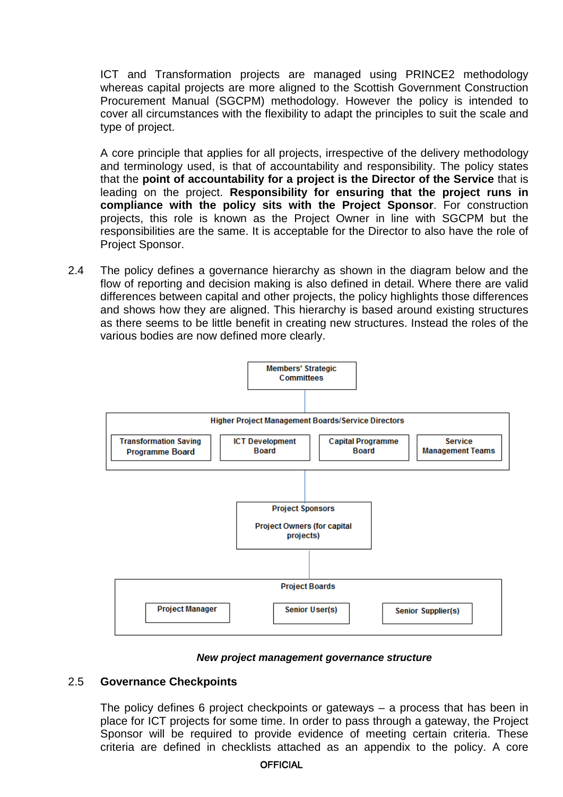ICT and Transformation projects are managed using PRINCE2 methodology whereas capital projects are more aligned to the Scottish Government Construction Procurement Manual (SGCPM) methodology. However the policy is intended to cover all circumstances with the flexibility to adapt the principles to suit the scale and type of project.

A core principle that applies for all projects, irrespective of the delivery methodology and terminology used, is that of accountability and responsibility. The policy states that the **point of accountability for a project is the Director of the Service** that is leading on the project. **Responsibility for ensuring that the project runs in compliance with the policy sits with the Project Sponsor**. For construction projects, this role is known as the Project Owner in line with SGCPM but the responsibilities are the same. It is acceptable for the Director to also have the role of Project Sponsor.

2.4 The policy defines a governance hierarchy as shown in the diagram below and the flow of reporting and decision making is also defined in detail. Where there are valid differences between capital and other projects, the policy highlights those differences and shows how they are aligned. This hierarchy is based around existing structures as there seems to be little benefit in creating new structures. Instead the roles of the various bodies are now defined more clearly.



#### *New project management governance structure*

#### 2.5 **Governance Checkpoints**

The policy defines 6 project checkpoints or gateways – a process that has been in place for ICT projects for some time. In order to pass through a gateway, the Project Sponsor will be required to provide evidence of meeting certain criteria. These criteria are defined in checklists attached as an appendix to the policy. A core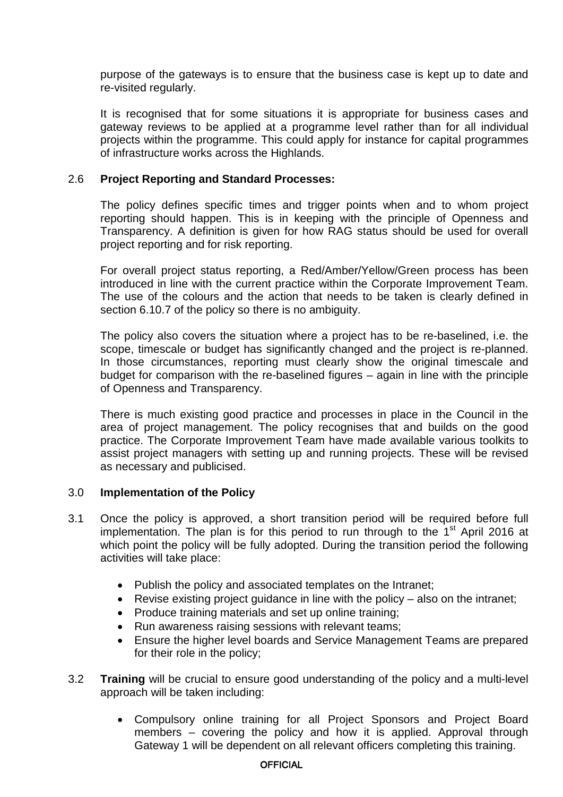purpose of the gateways is to ensure that the business case is kept up to date and re-visited regularly.

It is recognised that for some situations it is appropriate for business cases and gateway reviews to be applied at a programme level rather than for all individual projects within the programme. This could apply for instance for capital programmes of infrastructure works across the Highlands.

#### 2.6 **Project Reporting and Standard Processes:**

The policy defines specific times and trigger points when and to whom project reporting should happen. This is in keeping with the principle of Openness and Transparency. A definition is given for how RAG status should be used for overall project reporting and for risk reporting.

For overall project status reporting, a Red/Amber/Yellow/Green process has been introduced in line with the current practice within the Corporate Improvement Team. The use of the colours and the action that needs to be taken is clearly defined in section 6.10.7 of the policy so there is no ambiguity.

The policy also covers the situation where a project has to be re-baselined, i.e. the scope, timescale or budget has significantly changed and the project is re-planned. In those circumstances, reporting must clearly show the original timescale and budget for comparison with the re-baselined figures – again in line with the principle of Openness and Transparency.

There is much existing good practice and processes in place in the Council in the area of project management. The policy recognises that and builds on the good practice. The Corporate Improvement Team have made available various toolkits to assist project managers with setting up and running projects. These will be revised as necessary and publicised.

#### 3.0 **Implementation of the Policy**

- 3.1 Once the policy is approved, a short transition period will be required before full implementation. The plan is for this period to run through to the 1<sup>st</sup> April 2016 at which point the policy will be fully adopted. During the transition period the following activities will take place:
	- Publish the policy and associated templates on the Intranet;
	- Revise existing project guidance in line with the policy also on the intranet;
	- Produce training materials and set up online training;
	- Run awareness raising sessions with relevant teams;
	- Ensure the higher level boards and Service Management Teams are prepared for their role in the policy;
- 3.2 **Training** will be crucial to ensure good understanding of the policy and a multi-level approach will be taken including:
	- Compulsory online training for all Project Sponsors and Project Board members – covering the policy and how it is applied. Approval through Gateway 1 will be dependent on all relevant officers completing this training.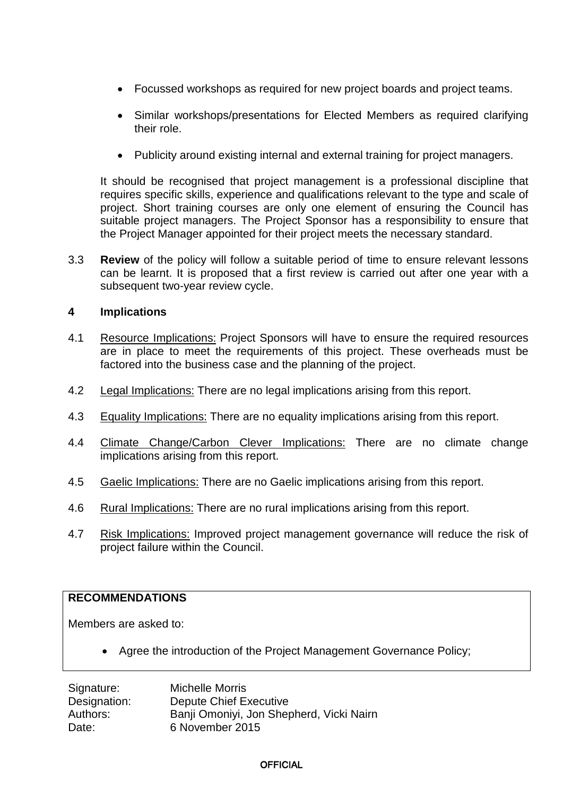- Focussed workshops as required for new project boards and project teams.
- Similar workshops/presentations for Elected Members as required clarifying their role.
- Publicity around existing internal and external training for project managers.

It should be recognised that project management is a professional discipline that requires specific skills, experience and qualifications relevant to the type and scale of project. Short training courses are only one element of ensuring the Council has suitable project managers. The Project Sponsor has a responsibility to ensure that the Project Manager appointed for their project meets the necessary standard.

3.3 **Review** of the policy will follow a suitable period of time to ensure relevant lessons can be learnt. It is proposed that a first review is carried out after one year with a subsequent two-year review cycle.

#### **4 Implications**

- 4.1 Resource Implications: Project Sponsors will have to ensure the required resources are in place to meet the requirements of this project. These overheads must be factored into the business case and the planning of the project.
- 4.2 Legal Implications: There are no legal implications arising from this report.
- 4.3 Equality Implications: There are no equality implications arising from this report.
- 4.4 Climate Change/Carbon Clever Implications: There are no climate change implications arising from this report.
- 4.5 Gaelic Implications: There are no Gaelic implications arising from this report.
- 4.6 Rural Implications: There are no rural implications arising from this report.
- 4.7 Risk Implications: Improved project management governance will reduce the risk of project failure within the Council.

#### **RECOMMENDATIONS**

Members are asked to:

• Agree the introduction of the Project Management Governance Policy;

| Signature:   | Michelle Morris                          |
|--------------|------------------------------------------|
| Designation: | Depute Chief Executive                   |
| Authors:     | Banji Omoniyi, Jon Shepherd, Vicki Nairn |
| Date:        | 6 November 2015                          |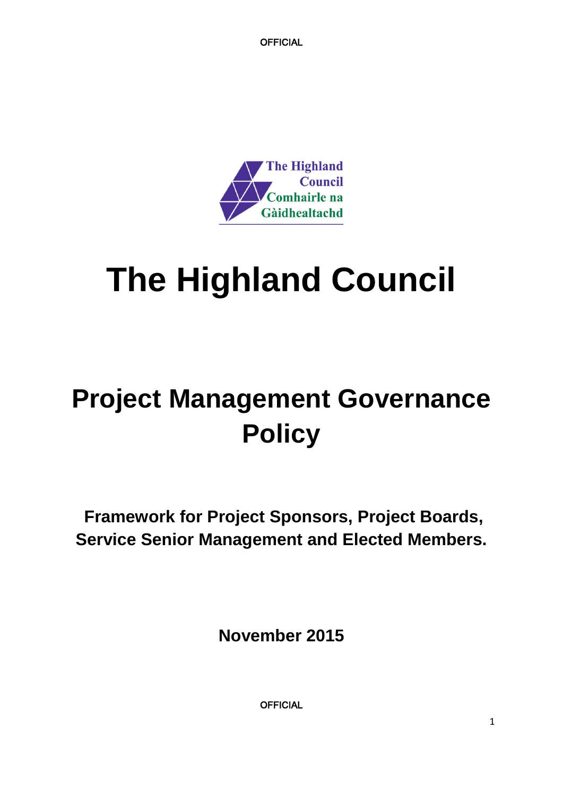

# **The Highland Council**

# **Project Management Governance Policy**

**Framework for Project Sponsors, Project Boards, Service Senior Management and Elected Members.**

**November 2015**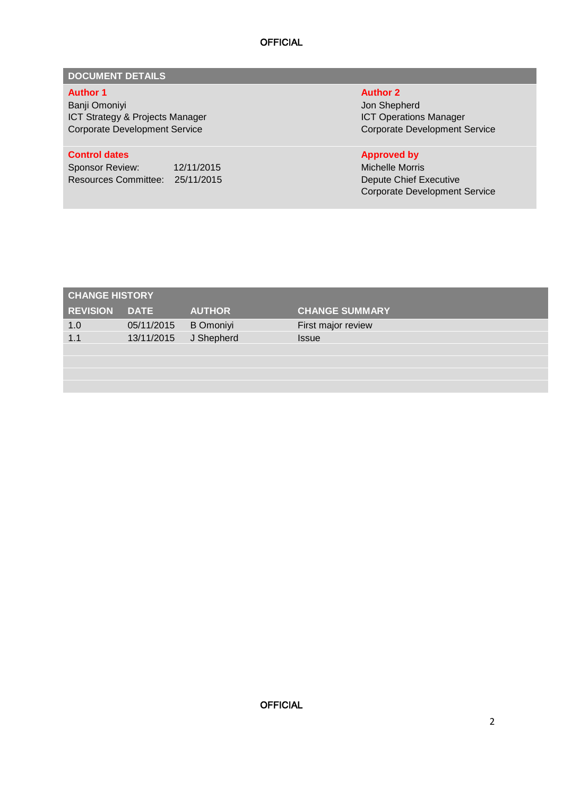#### **DOCUMENT DETAILS**

#### **Author 1**

Banji Omoniyi ICT Strategy & Projects Manager Corporate Development Service

#### **Control dates**

| Sponsor Review:      | 12/11/2015 |
|----------------------|------------|
| Resources Committee: | 25/11/2015 |

#### **Author 2**

Jon Shepherd ICT Operations Manager Corporate Development Service

#### **Approved by**

Michelle Morris Depute Chief Executive Corporate Development Service

|                 | <b>CHANGE HISTORY</b> |                  |                       |  |  |  |
|-----------------|-----------------------|------------------|-----------------------|--|--|--|
| <b>REVISION</b> | <b>DATE</b>           | <b>AUTHOR</b>    | <b>CHANGE SUMMARY</b> |  |  |  |
| 1.0             | 05/11/2015            | <b>B</b> Omoniyi | First major review    |  |  |  |
| 1.1             | 13/11/2015            | J Shepherd       | <b>Issue</b>          |  |  |  |
|                 |                       |                  |                       |  |  |  |
|                 |                       |                  |                       |  |  |  |
|                 |                       |                  |                       |  |  |  |
|                 |                       |                  |                       |  |  |  |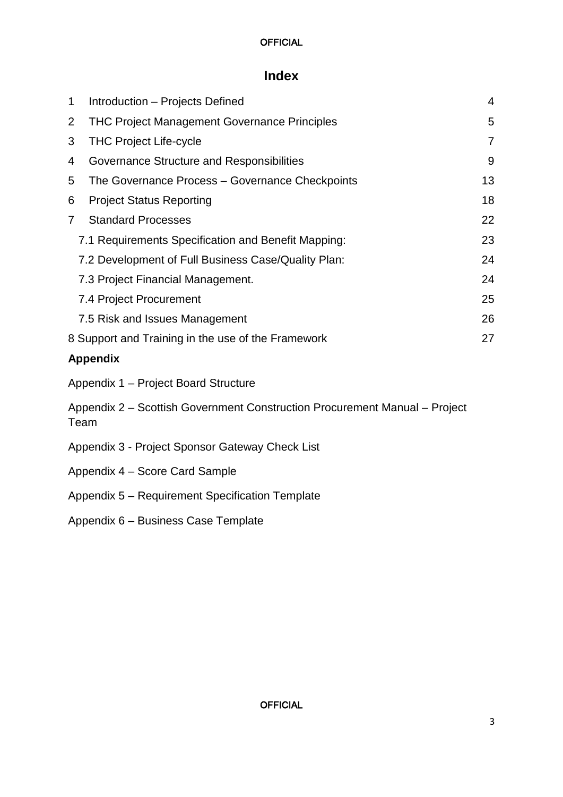# **Index**

| 1                       | Introduction – Projects Defined                     | 4              |  |
|-------------------------|-----------------------------------------------------|----------------|--|
| 2                       | <b>THC Project Management Governance Principles</b> |                |  |
| 3                       | <b>THC Project Life-cycle</b>                       | $\overline{7}$ |  |
| 4                       | Governance Structure and Responsibilities           | 9              |  |
| 5                       | The Governance Process - Governance Checkpoints     | 13             |  |
| 6                       | <b>Project Status Reporting</b>                     | 18             |  |
| 7                       | <b>Standard Processes</b>                           | 22             |  |
|                         | 7.1 Requirements Specification and Benefit Mapping: | 23             |  |
|                         | 7.2 Development of Full Business Case/Quality Plan: | 24             |  |
|                         | 7.3 Project Financial Management.                   | 24             |  |
| 7.4 Project Procurement | 25                                                  |                |  |
|                         | 7.5 Risk and Issues Management                      | 26             |  |
|                         | 8 Support and Training in the use of the Framework  | 27             |  |
|                         | <b>Appendix</b>                                     |                |  |
|                         | Appendix 1 - Project Board Structure                |                |  |

Appendix 2 – Scottish Government Construction Procurement Manual – Project Team

- Appendix 3 Project Sponsor Gateway Check List
- Appendix 4 Score Card Sample
- Appendix 5 Requirement Specification Template
- Appendix 6 Business Case Template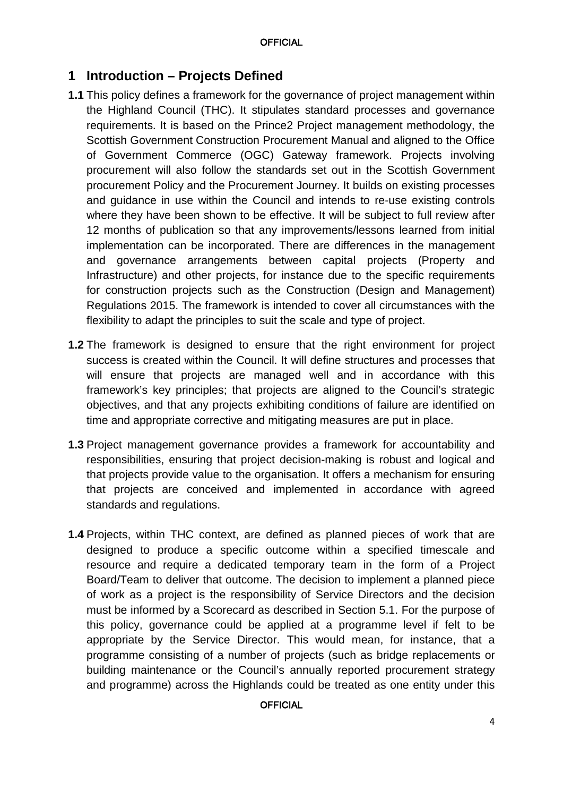# <span id="page-8-0"></span>**1 Introduction – Projects Defined**

- **1.1** This policy defines a framework for the governance of project management within the Highland Council (THC). It stipulates standard processes and governance requirements. It is based on the Prince2 Project management methodology, the Scottish Government Construction Procurement Manual and aligned to the Office of Government Commerce (OGC) Gateway framework. Projects involving procurement will also follow the standards set out in the Scottish Government procurement Policy and the Procurement Journey. It builds on existing processes and guidance in use within the Council and intends to re-use existing controls where they have been shown to be effective. It will be subject to full review after 12 months of publication so that any improvements/lessons learned from initial implementation can be incorporated. There are differences in the management and governance arrangements between capital projects (Property and Infrastructure) and other projects, for instance due to the specific requirements for construction projects such as the Construction (Design and Management) Regulations 2015. The framework is intended to cover all circumstances with the flexibility to adapt the principles to suit the scale and type of project.
- **1.2** The framework is designed to ensure that the right environment for project success is created within the Council. It will define structures and processes that will ensure that projects are managed well and in accordance with this framework's key principles; that projects are aligned to the Council's strategic objectives, and that any projects exhibiting conditions of failure are identified on time and appropriate corrective and mitigating measures are put in place.
- **1.3** Project management governance provides a framework for accountability and responsibilities, ensuring that project decision-making is robust and logical and that projects provide value to the organisation. It offers a mechanism for ensuring that projects are conceived and implemented in accordance with agreed standards and regulations.
- **1.4** Projects, within THC context, are defined as planned pieces of work that are designed to produce a specific outcome within a specified timescale and resource and require a dedicated temporary team in the form of a Project Board/Team to deliver that outcome. The decision to implement a planned piece of work as a project is the responsibility of Service Directors and the decision must be informed by a Scorecard as described in Section 5.1. For the purpose of this policy, governance could be applied at a programme level if felt to be appropriate by the Service Director. This would mean, for instance, that a programme consisting of a number of projects (such as bridge replacements or building maintenance or the Council's annually reported procurement strategy and programme) across the Highlands could be treated as one entity under this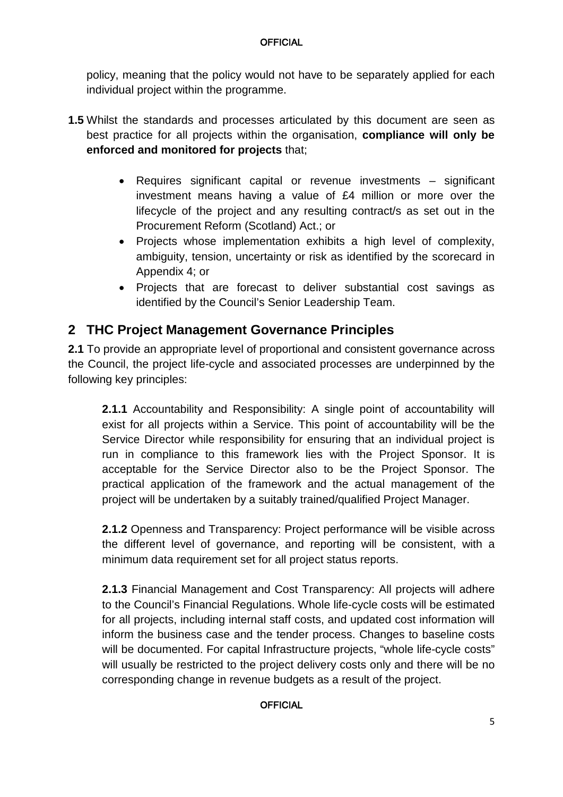policy, meaning that the policy would not have to be separately applied for each individual project within the programme.

- **1.5** Whilst the standards and processes articulated by this document are seen as best practice for all projects within the organisation, **compliance will only be enforced and monitored for projects** that;
	- Requires significant capital or revenue investments significant investment means having a value of £4 million or more over the lifecycle of the project and any resulting contract/s as set out in the Procurement Reform (Scotland) Act.; or
	- Projects whose implementation exhibits a high level of complexity, ambiguity, tension, uncertainty or risk as identified by the scorecard in Appendix 4; or
	- Projects that are forecast to deliver substantial cost savings as identified by the Council's Senior Leadership Team.

# <span id="page-9-0"></span>**2 THC Project Management Governance Principles**

**2.1** To provide an appropriate level of proportional and consistent governance across the Council, the project life-cycle and associated processes are underpinned by the following key principles:

**2.1.1** Accountability and Responsibility: A single point of accountability will exist for all projects within a Service. This point of accountability will be the Service Director while responsibility for ensuring that an individual project is run in compliance to this framework lies with the Project Sponsor. It is acceptable for the Service Director also to be the Project Sponsor. The practical application of the framework and the actual management of the project will be undertaken by a suitably trained/qualified Project Manager.

**2.1.2** Openness and Transparency: Project performance will be visible across the different level of governance, and reporting will be consistent, with a minimum data requirement set for all project status reports.

**2.1.3** Financial Management and Cost Transparency: All projects will adhere to the Council's Financial Regulations. Whole life-cycle costs will be estimated for all projects, including internal staff costs, and updated cost information will inform the business case and the tender process. Changes to baseline costs will be documented. For capital Infrastructure projects, "whole life-cycle costs" will usually be restricted to the project delivery costs only and there will be no corresponding change in revenue budgets as a result of the project.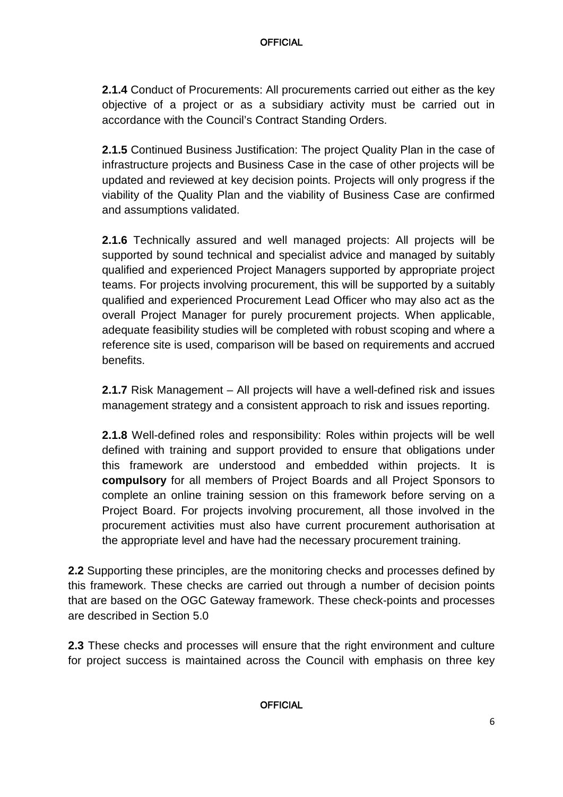**2.1.4** Conduct of Procurements: All procurements carried out either as the key objective of a project or as a subsidiary activity must be carried out in accordance with the Council's Contract Standing Orders.

**2.1.5** Continued Business Justification: The project Quality Plan in the case of infrastructure projects and Business Case in the case of other projects will be updated and reviewed at key decision points. Projects will only progress if the viability of the Quality Plan and the viability of Business Case are confirmed and assumptions validated.

**2.1.6** Technically assured and well managed projects: All projects will be supported by sound technical and specialist advice and managed by suitably qualified and experienced Project Managers supported by appropriate project teams. For projects involving procurement, this will be supported by a suitably qualified and experienced Procurement Lead Officer who may also act as the overall Project Manager for purely procurement projects. When applicable, adequate feasibility studies will be completed with robust scoping and where a reference site is used, comparison will be based on requirements and accrued benefits.

**2.1.7** Risk Management – All projects will have a well-defined risk and issues management strategy and a consistent approach to risk and issues reporting.

**2.1.8** Well-defined roles and responsibility: Roles within projects will be well defined with training and support provided to ensure that obligations under this framework are understood and embedded within projects. It is **compulsory** for all members of Project Boards and all Project Sponsors to complete an online training session on this framework before serving on a Project Board. For projects involving procurement, all those involved in the procurement activities must also have current procurement authorisation at the appropriate level and have had the necessary procurement training.

**2.2** Supporting these principles, are the monitoring checks and processes defined by this framework. These checks are carried out through a number of decision points that are based on the OGC Gateway framework. These check-points and processes are described in Section 5.0

**2.3** These checks and processes will ensure that the right environment and culture for project success is maintained across the Council with emphasis on three key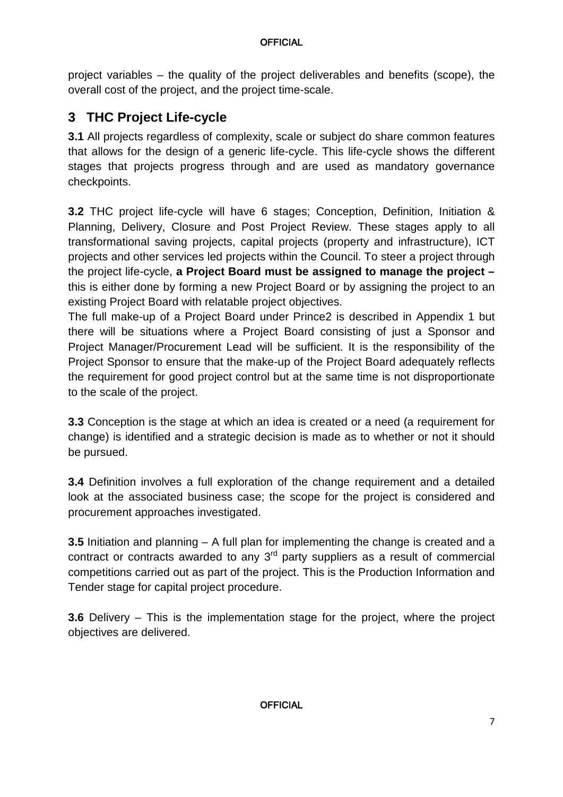project variables – the quality of the project deliverables and benefits (scope), the overall cost of the project, and the project time-scale.

# <span id="page-11-0"></span>**3 THC Project Life-cycle**

**3.1** All projects regardless of complexity, scale or subject do share common features that allows for the design of a generic life-cycle. This life-cycle shows the different stages that projects progress through and are used as mandatory governance checkpoints.

**3.2** THC project life-cycle will have 6 stages; Conception, Definition, Initiation & Planning, Delivery, Closure and Post Project Review. These stages apply to all transformational saving projects, capital projects (property and infrastructure), ICT projects and other services led projects within the Council. To steer a project through the project life-cycle, **a Project Board must be assigned to manage the project –** this is either done by forming a new Project Board or by assigning the project to an existing Project Board with relatable project objectives.

The full make-up of a Project Board under Prince2 is described in Appendix 1 but there will be situations where a Project Board consisting of just a Sponsor and Project Manager/Procurement Lead will be sufficient. It is the responsibility of the Project Sponsor to ensure that the make-up of the Project Board adequately reflects the requirement for good project control but at the same time is not disproportionate to the scale of the project.

**3.3** Conception is the stage at which an idea is created or a need (a requirement for change) is identified and a strategic decision is made as to whether or not it should be pursued.

**3.4** Definition involves a full exploration of the change requirement and a detailed look at the associated business case; the scope for the project is considered and procurement approaches investigated.

**3.5** Initiation and planning – A full plan for implementing the change is created and a contract or contracts awarded to any  $3<sup>rd</sup>$  party suppliers as a result of commercial competitions carried out as part of the project. This is the Production Information and Tender stage for capital project procedure.

**3.6** Delivery – This is the implementation stage for the project, where the project objectives are delivered.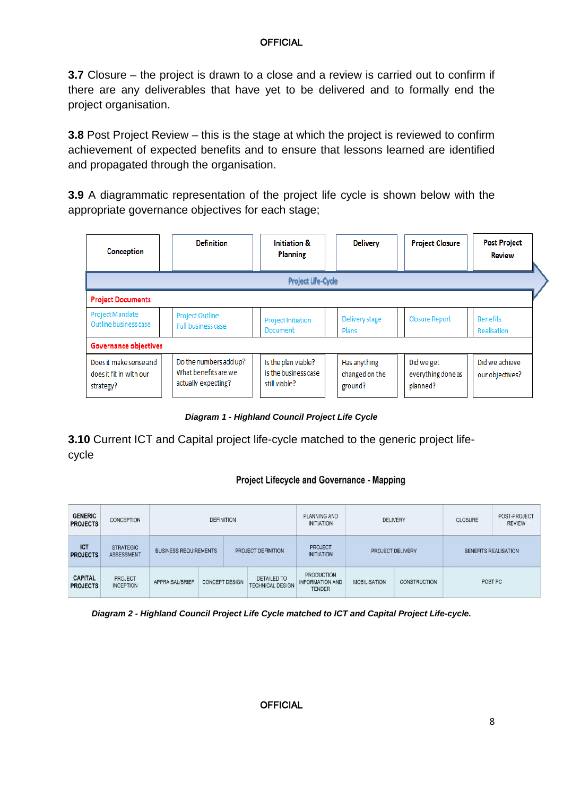**3.7** Closure – the project is drawn to a close and a review is carried out to confirm if there are any deliverables that have yet to be delivered and to formally end the project organisation.

**3.8** Post Project Review – this is the stage at which the project is reviewed to confirm achievement of expected benefits and to ensure that lessons learned are identified and propagated through the organisation.

**3.9** A diagrammatic representation of the project life cycle is shown below with the appropriate governance objectives for each stage;

| Conception                                                                        | <b>Definition</b>                                                     | <b>Initiation &amp;</b><br><b>Planning</b>                   | <b>Delivery</b>                           | <b>Project Closure</b>                       | <b>Post Project</b><br><b>Review</b> |
|-----------------------------------------------------------------------------------|-----------------------------------------------------------------------|--------------------------------------------------------------|-------------------------------------------|----------------------------------------------|--------------------------------------|
|                                                                                   |                                                                       | <b>Project Life-Cycle</b>                                    |                                           |                                              |                                      |
| <b>Project Documents</b>                                                          |                                                                       |                                                              |                                           |                                              |                                      |
| Project Mandate<br>Project Outline<br>Outline business case<br>Full business case |                                                                       | Project Initiation<br><b>Document</b>                        | Delivery stage<br>Plans                   | <b>Closure Report</b>                        | <b>Benefits</b><br>Realisation       |
| Governance objectives                                                             |                                                                       |                                                              |                                           |                                              |                                      |
| Does it make sense and<br>does it fit in with our<br>strategy?                    | Do the numbers add up?<br>What benefits are we<br>actually expecting? | Is the plan viable?<br>Is the business case<br>still viable? | Has anything<br>changed on the<br>ground? | Did we get<br>everything done as<br>planned? | Did we achieve<br>our objectives?    |

*Diagram 1 - Highland Council Project Life Cycle*

**3.10** Current ICT and Capital project life-cycle matched to the generic project lifecycle

#### Project Lifecycle and Governance - Mapping

| <b>GENERIC</b><br><b>PROJECTS</b> | <b>CONCEPTION</b>                     | <b>DEFINITION</b>                                  |  |                                     | PLANNING AND<br><b>INITIATION</b>             |                                                              | <b>DELIVERY</b>     | <b>CLOSURE</b>       | POST-PROJECT<br><b>REVIEW</b> |                    |
|-----------------------------------|---------------------------------------|----------------------------------------------------|--|-------------------------------------|-----------------------------------------------|--------------------------------------------------------------|---------------------|----------------------|-------------------------------|--------------------|
| <b>ICT</b><br><b>PROJECTS</b>     | <b>STRATEGIC</b><br><b>ASSESSMENT</b> | <b>BUSINESS REQUIREMENTS</b><br>PROJECT DEFINITION |  | <b>PROJECT</b><br><b>INITIATION</b> |                                               | <b>PROJECT DELIVERY</b>                                      |                     | BENEFITS REALISATION |                               |                    |
| <b>CAPITAL</b><br><b>PROJECTS</b> | <b>PROJECT</b><br><b>INCEPTION</b>    | APPRAISAL/BRIEF                                    |  | <b>CONCEPT DESIGN</b>               | <b>DETAILED TO</b><br><b>TECHNICAL DESIGN</b> | <b>PRODUCTION</b><br><b>INFORMATION AND</b><br><b>TENDER</b> | <b>MOBILISATION</b> | <b>CONSTRUCTION</b>  |                               | POST <sub>PC</sub> |

<span id="page-12-0"></span>*Diagram 2 - Highland Council Project Life Cycle matched to ICT and Capital Project Life-cycle.*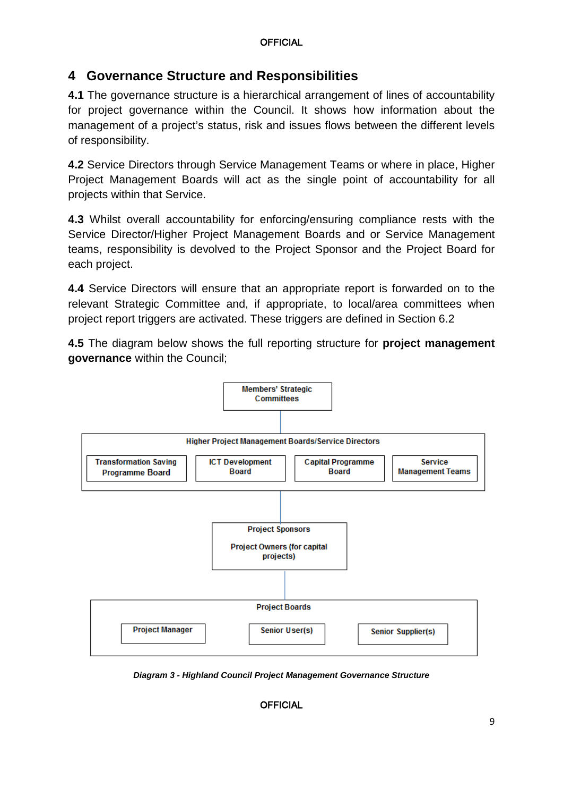# **4 Governance Structure and Responsibilities**

**4.1** The governance structure is a hierarchical arrangement of lines of accountability for project governance within the Council. It shows how information about the management of a project's status, risk and issues flows between the different levels of responsibility.

**4.2** Service Directors through Service Management Teams or where in place, Higher Project Management Boards will act as the single point of accountability for all projects within that Service.

**4.3** Whilst overall accountability for enforcing/ensuring compliance rests with the Service Director/Higher Project Management Boards and or Service Management teams, responsibility is devolved to the Project Sponsor and the Project Board for each project.

**4.4** Service Directors will ensure that an appropriate report is forwarded on to the relevant Strategic Committee and, if appropriate, to local/area committees when project report triggers are activated. These triggers are defined in Section 6.2

**4.5** The diagram below shows the full reporting structure for **project management governance** within the Council;



*Diagram 3 - Highland Council Project Management Governance Structure*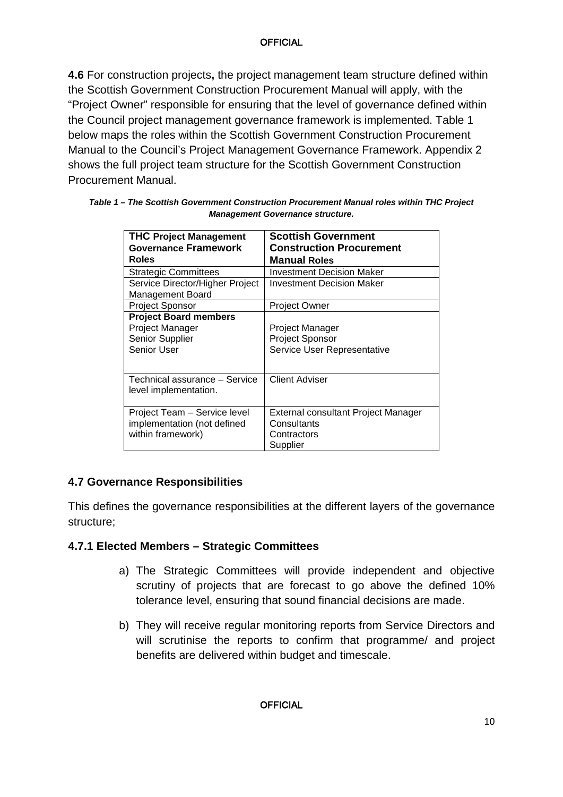**4.6** For construction projects**,** the project management team structure defined within the Scottish Government Construction Procurement Manual will apply, with the "Project Owner" responsible for ensuring that the level of governance defined within the Council project management governance framework is implemented. Table 1 below maps the roles within the Scottish Government Construction Procurement Manual to the Council's Project Management Governance Framework. Appendix 2 shows the full project team structure for the Scottish Government Construction Procurement Manual.

| <b>THC Project Management</b><br><b>Governance Framework</b> | <b>Scottish Government</b><br><b>Construction Procurement</b> |
|--------------------------------------------------------------|---------------------------------------------------------------|
| <b>Roles</b>                                                 | <b>Manual Roles</b>                                           |
| <b>Strategic Committees</b>                                  | <b>Investment Decision Maker</b>                              |
| Service Director/Higher Project                              | <b>Investment Decision Maker</b>                              |
| Management Board                                             |                                                               |
| <b>Project Sponsor</b>                                       | Project Owner                                                 |
| <b>Project Board members</b>                                 |                                                               |
| <b>Project Manager</b>                                       | Project Manager                                               |
| Senior Supplier                                              | <b>Project Sponsor</b>                                        |
| Senior User                                                  | Service User Representative                                   |
|                                                              |                                                               |
| Technical assurance - Service                                | <b>Client Adviser</b>                                         |
| level implementation.                                        |                                                               |
|                                                              |                                                               |
| Project Team - Service level                                 | External consultant Project Manager                           |
| implementation (not defined                                  | Consultants                                                   |
| within framework)                                            | Contractors                                                   |
|                                                              | Supplier                                                      |

| Table 1 – The Scottish Government Construction Procurement Manual roles within THC Project |
|--------------------------------------------------------------------------------------------|
| <b>Management Governance structure.</b>                                                    |

#### **4.7 Governance Responsibilities**

This defines the governance responsibilities at the different layers of the governance structure;

#### **4.7.1 Elected Members – Strategic Committees**

- a) The Strategic Committees will provide independent and objective scrutiny of projects that are forecast to go above the defined 10% tolerance level, ensuring that sound financial decisions are made.
- b) They will receive regular monitoring reports from Service Directors and will scrutinise the reports to confirm that programme/ and project benefits are delivered within budget and timescale.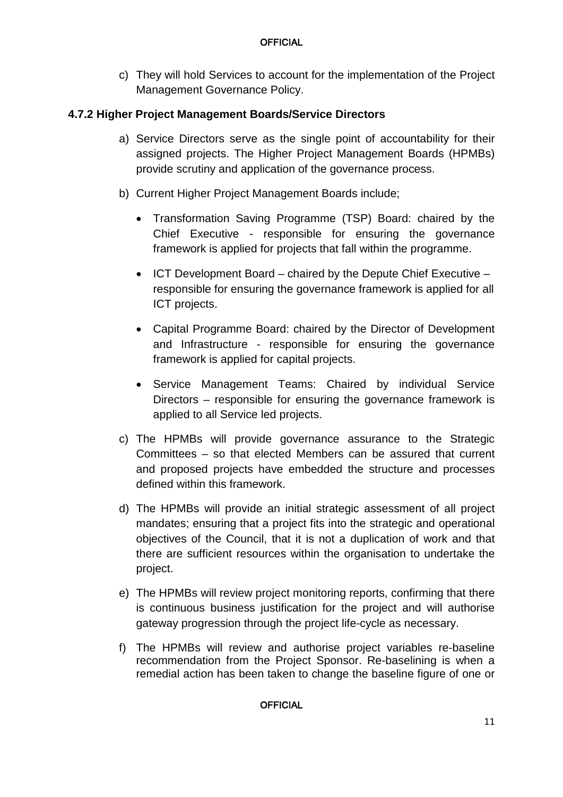c) They will hold Services to account for the implementation of the Project Management Governance Policy.

#### **4.7.2 Higher Project Management Boards/Service Directors**

- a) Service Directors serve as the single point of accountability for their assigned projects. The Higher Project Management Boards (HPMBs) provide scrutiny and application of the governance process.
- b) Current Higher Project Management Boards include;
	- Transformation Saving Programme (TSP) Board: chaired by the Chief Executive - responsible for ensuring the governance framework is applied for projects that fall within the programme.
	- ICT Development Board chaired by the Depute Chief Executive responsible for ensuring the governance framework is applied for all ICT projects.
	- Capital Programme Board: chaired by the Director of Development and Infrastructure - responsible for ensuring the governance framework is applied for capital projects.
	- Service Management Teams: Chaired by individual Service Directors – responsible for ensuring the governance framework is applied to all Service led projects.
- c) The HPMBs will provide governance assurance to the Strategic Committees – so that elected Members can be assured that current and proposed projects have embedded the structure and processes defined within this framework.
- d) The HPMBs will provide an initial strategic assessment of all project mandates; ensuring that a project fits into the strategic and operational objectives of the Council, that it is not a duplication of work and that there are sufficient resources within the organisation to undertake the project.
- e) The HPMBs will review project monitoring reports, confirming that there is continuous business justification for the project and will authorise gateway progression through the project life-cycle as necessary.
- f) The HPMBs will review and authorise project variables re-baseline recommendation from the Project Sponsor. Re-baselining is when a remedial action has been taken to change the baseline figure of one or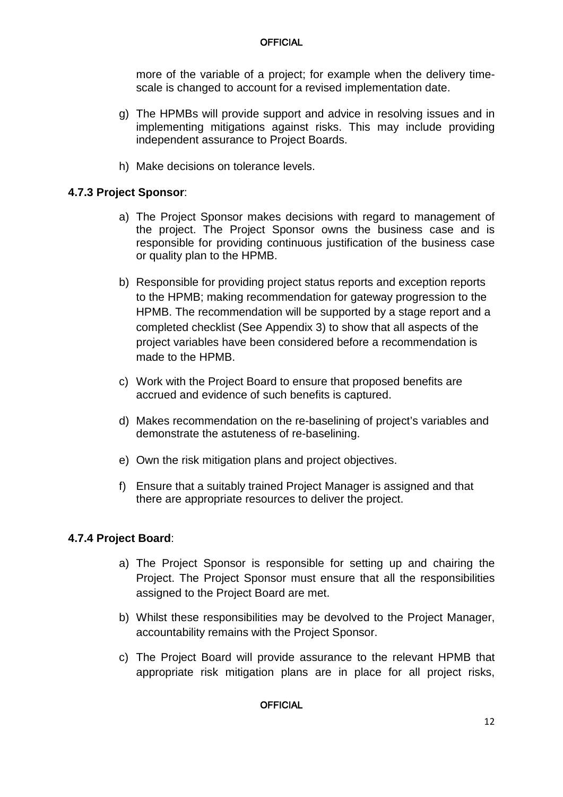more of the variable of a project; for example when the delivery timescale is changed to account for a revised implementation date.

- g) The HPMBs will provide support and advice in resolving issues and in implementing mitigations against risks. This may include providing independent assurance to Project Boards.
- h) Make decisions on tolerance levels.

#### **4.7.3 Project Sponsor**:

- a) The Project Sponsor makes decisions with regard to management of the project. The Project Sponsor owns the business case and is responsible for providing continuous justification of the business case or quality plan to the HPMB.
- b) Responsible for providing project status reports and exception reports to the HPMB; making recommendation for gateway progression to the HPMB. The recommendation will be supported by a stage report and a completed checklist (See Appendix 3) to show that all aspects of the project variables have been considered before a recommendation is made to the HPMB.
- c) Work with the Project Board to ensure that proposed benefits are accrued and evidence of such benefits is captured.
- d) Makes recommendation on the re-baselining of project's variables and demonstrate the astuteness of re-baselining.
- e) Own the risk mitigation plans and project objectives.
- f) Ensure that a suitably trained Project Manager is assigned and that there are appropriate resources to deliver the project.

#### **4.7.4 Project Board**:

- a) The Project Sponsor is responsible for setting up and chairing the Project. The Project Sponsor must ensure that all the responsibilities assigned to the Project Board are met.
- b) Whilst these responsibilities may be devolved to the Project Manager, accountability remains with the Project Sponsor.
- c) The Project Board will provide assurance to the relevant HPMB that appropriate risk mitigation plans are in place for all project risks,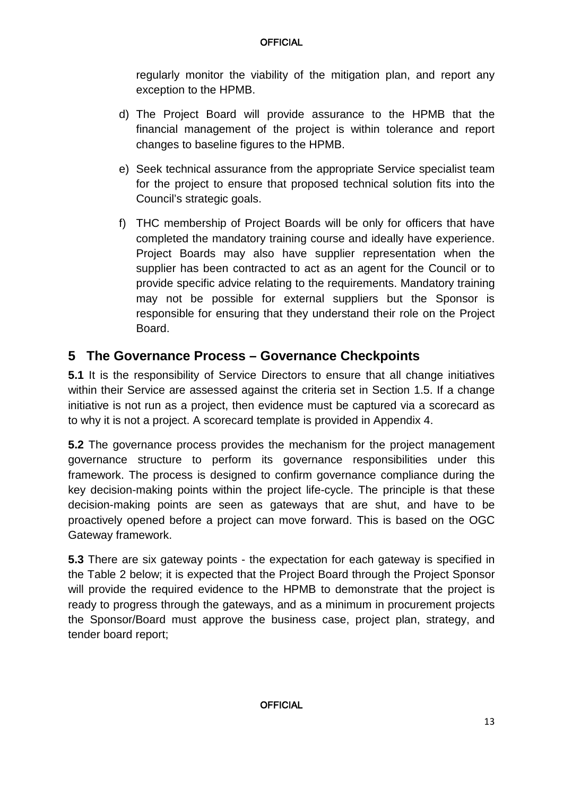regularly monitor the viability of the mitigation plan, and report any exception to the HPMB.

- d) The Project Board will provide assurance to the HPMB that the financial management of the project is within tolerance and report changes to baseline figures to the HPMB.
- e) Seek technical assurance from the appropriate Service specialist team for the project to ensure that proposed technical solution fits into the Council's strategic goals.
- f) THC membership of Project Boards will be only for officers that have completed the mandatory training course and ideally have experience. Project Boards may also have supplier representation when the supplier has been contracted to act as an agent for the Council or to provide specific advice relating to the requirements. Mandatory training may not be possible for external suppliers but the Sponsor is responsible for ensuring that they understand their role on the Project Board.

# <span id="page-17-0"></span>**5 The Governance Process – Governance Checkpoints**

**5.1** It is the responsibility of Service Directors to ensure that all change initiatives within their Service are assessed against the criteria set in Section 1.5. If a change initiative is not run as a project, then evidence must be captured via a scorecard as to why it is not a project. A scorecard template is provided in Appendix 4.

**5.2** The governance process provides the mechanism for the project management governance structure to perform its governance responsibilities under this framework. The process is designed to confirm governance compliance during the key decision-making points within the project life-cycle. The principle is that these decision-making points are seen as gateways that are shut, and have to be proactively opened before a project can move forward. This is based on the OGC Gateway framework.

**5.3** There are six gateway points - the expectation for each gateway is specified in the Table 2 below; it is expected that the Project Board through the Project Sponsor will provide the required evidence to the HPMB to demonstrate that the project is ready to progress through the gateways, and as a minimum in procurement projects the Sponsor/Board must approve the business case, project plan, strategy, and tender board report;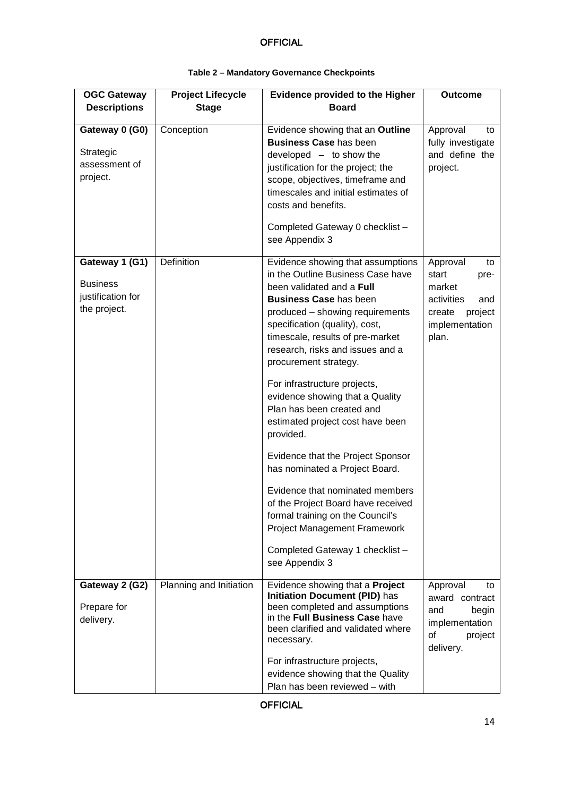| <b>OGC Gateway</b>                                                     | <b>Project Lifecycle</b> | <b>Evidence provided to the Higher</b>                                                                                                                                                                                                                                                                                                                                                                                                                                                                                                                                                                                                                                                                                                      | <b>Outcome</b>                                                                                                 |
|------------------------------------------------------------------------|--------------------------|---------------------------------------------------------------------------------------------------------------------------------------------------------------------------------------------------------------------------------------------------------------------------------------------------------------------------------------------------------------------------------------------------------------------------------------------------------------------------------------------------------------------------------------------------------------------------------------------------------------------------------------------------------------------------------------------------------------------------------------------|----------------------------------------------------------------------------------------------------------------|
| <b>Descriptions</b>                                                    | <b>Stage</b>             | <b>Board</b>                                                                                                                                                                                                                                                                                                                                                                                                                                                                                                                                                                                                                                                                                                                                |                                                                                                                |
| Gateway 0 (G0)<br>Strategic<br>assessment of<br>project.               | Conception               | Evidence showing that an Outline<br><b>Business Case has been</b><br>developed $-$ to show the<br>justification for the project; the<br>scope, objectives, timeframe and<br>timescales and initial estimates of<br>costs and benefits.<br>Completed Gateway 0 checklist -<br>see Appendix 3                                                                                                                                                                                                                                                                                                                                                                                                                                                 | Approval<br>to<br>fully investigate<br>and define the<br>project.                                              |
| Gateway 1 (G1)<br><b>Business</b><br>justification for<br>the project. | Definition               | Evidence showing that assumptions<br>in the Outline Business Case have<br>been validated and a Full<br><b>Business Case has been</b><br>produced - showing requirements<br>specification (quality), cost,<br>timescale, results of pre-market<br>research, risks and issues and a<br>procurement strategy.<br>For infrastructure projects,<br>evidence showing that a Quality<br>Plan has been created and<br>estimated project cost have been<br>provided.<br>Evidence that the Project Sponsor<br>has nominated a Project Board.<br>Evidence that nominated members<br>of the Project Board have received<br>formal training on the Council's<br><b>Project Management Framework</b><br>Completed Gateway 1 checklist -<br>see Appendix 3 | Approval<br>to<br>start<br>pre-<br>market<br>activities<br>and<br>project<br>create<br>implementation<br>plan. |
| Gateway 2 (G2)<br>Prepare for<br>delivery.                             | Planning and Initiation  | Evidence showing that a Project<br><b>Initiation Document (PID) has</b><br>been completed and assumptions<br>in the Full Business Case have<br>been clarified and validated where<br>necessary.<br>For infrastructure projects,<br>evidence showing that the Quality<br>Plan has been reviewed - with                                                                                                                                                                                                                                                                                                                                                                                                                                       | Approval<br>to<br>award contract<br>and<br>begin<br>implementation<br>of<br>project<br>delivery.               |

#### **Table 2 – Mandatory Governance Checkpoints**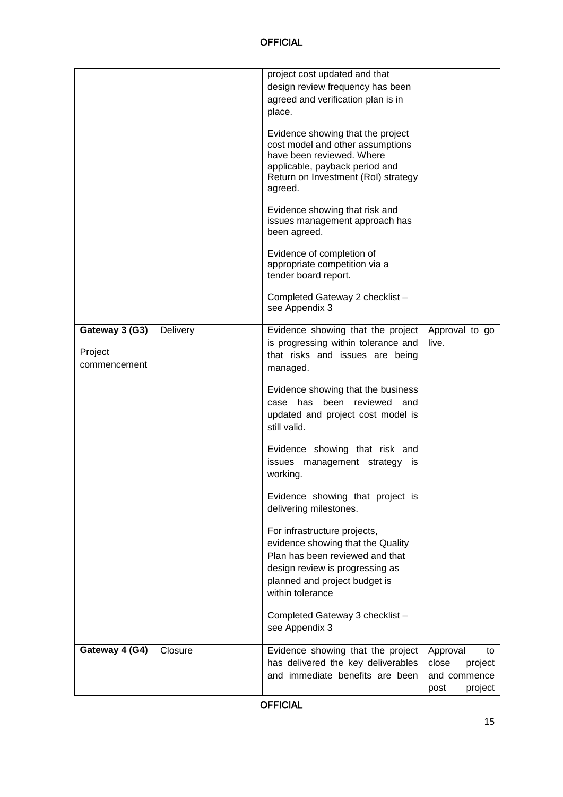|                                           |          | project cost updated and that<br>design review frequency has been<br>agreed and verification plan is in<br>place.<br>Evidence showing that the project<br>cost model and other assumptions<br>have been reviewed. Where<br>applicable, payback period and<br>Return on Investment (RoI) strategy<br>agreed.<br>Evidence showing that risk and<br>issues management approach has<br>been agreed.<br>Evidence of completion of<br>appropriate competition via a<br>tender board report.<br>Completed Gateway 2 checklist -<br>see Appendix 3                                                                                                         |                                                                       |
|-------------------------------------------|----------|----------------------------------------------------------------------------------------------------------------------------------------------------------------------------------------------------------------------------------------------------------------------------------------------------------------------------------------------------------------------------------------------------------------------------------------------------------------------------------------------------------------------------------------------------------------------------------------------------------------------------------------------------|-----------------------------------------------------------------------|
| Gateway 3 (G3)<br>Project<br>commencement | Delivery | Evidence showing that the project<br>is progressing within tolerance and<br>that risks and issues are being<br>managed.<br>Evidence showing that the business<br>case has been reviewed and<br>updated and project cost model is<br>still valid.<br>Evidence showing that risk and<br>issues management strategy is<br>working.<br>Evidence showing that project is<br>delivering milestones.<br>For infrastructure projects,<br>evidence showing that the Quality<br>Plan has been reviewed and that<br>design review is progressing as<br>planned and project budget is<br>within tolerance<br>Completed Gateway 3 checklist -<br>see Appendix 3 | Approval to go<br>live.                                               |
| Gateway 4 (G4)                            | Closure  | Evidence showing that the project<br>has delivered the key deliverables<br>and immediate benefits are been                                                                                                                                                                                                                                                                                                                                                                                                                                                                                                                                         | Approval<br>to<br>close<br>project<br>and commence<br>project<br>post |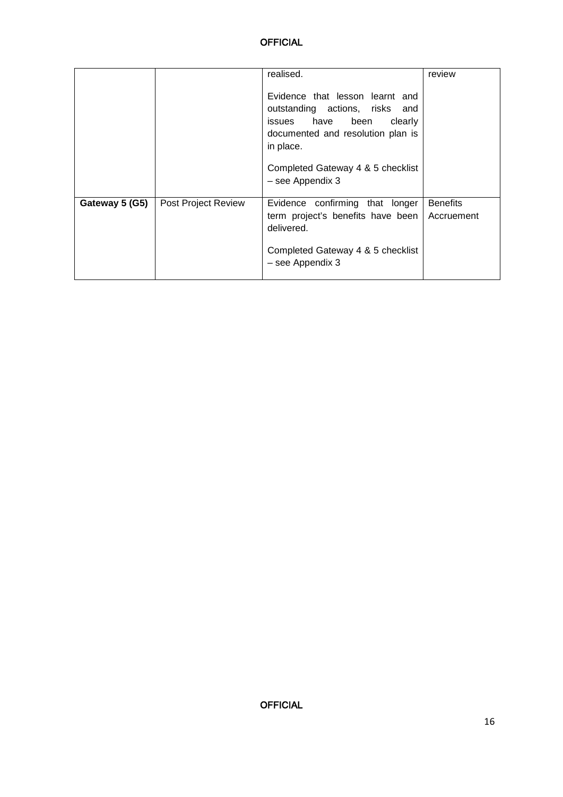|                |                     | realised.                                                                                                                                                                                                      | review                        |
|----------------|---------------------|----------------------------------------------------------------------------------------------------------------------------------------------------------------------------------------------------------------|-------------------------------|
|                |                     | Evidence that lesson learnt and<br>outstanding actions, risks and<br>have been<br>clearly<br>issues<br>documented and resolution plan is<br>in place.<br>Completed Gateway 4 & 5 checklist<br>- see Appendix 3 |                               |
| Gateway 5 (G5) | Post Project Review | Evidence confirming that longer<br>term project's benefits have been<br>delivered.<br>Completed Gateway 4 & 5 checklist<br>- see Appendix 3                                                                    | <b>Benefits</b><br>Accruement |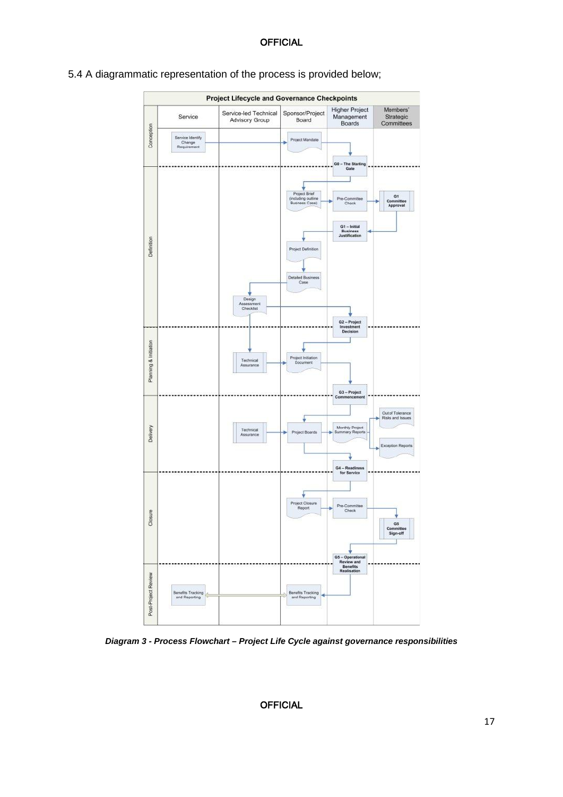

#### 5.4 A diagrammatic representation of the process is provided below;

*Diagram 3 - Process Flowchart – Project Life Cycle against governance responsibilities*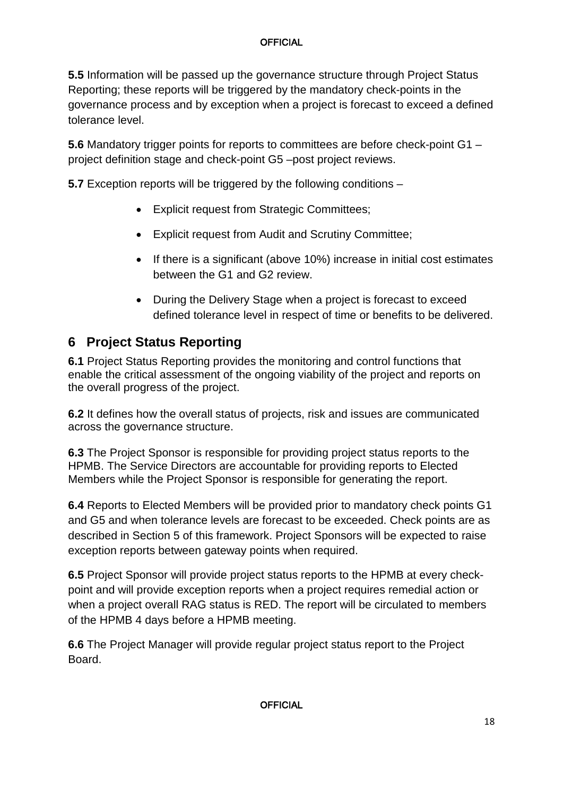**5.5** Information will be passed up the governance structure through Project Status Reporting; these reports will be triggered by the mandatory check-points in the governance process and by exception when a project is forecast to exceed a defined tolerance level.

**5.6** Mandatory trigger points for reports to committees are before check-point G1 – project definition stage and check-point G5 –post project reviews.

**5.7** Exception reports will be triggered by the following conditions –

- Explicit request from Strategic Committees;
- Explicit request from Audit and Scrutiny Committee;
- If there is a significant (above 10%) increase in initial cost estimates between the G1 and G2 review.
- During the Delivery Stage when a project is forecast to exceed defined tolerance level in respect of time or benefits to be delivered.

# <span id="page-22-0"></span>**6 Project Status Reporting**

**6.1** Project Status Reporting provides the monitoring and control functions that enable the critical assessment of the ongoing viability of the project and reports on the overall progress of the project.

**6.2** It defines how the overall status of projects, risk and issues are communicated across the governance structure.

**6.3** The Project Sponsor is responsible for providing project status reports to the HPMB. The Service Directors are accountable for providing reports to Elected Members while the Project Sponsor is responsible for generating the report.

**6.4** Reports to Elected Members will be provided prior to mandatory check points G1 and G5 and when tolerance levels are forecast to be exceeded. Check points are as described in Section 5 of this framework. Project Sponsors will be expected to raise exception reports between gateway points when required.

**6.5** Project Sponsor will provide project status reports to the HPMB at every checkpoint and will provide exception reports when a project requires remedial action or when a project overall RAG status is RED. The report will be circulated to members of the HPMB 4 days before a HPMB meeting.

**6.6** The Project Manager will provide regular project status report to the Project Board.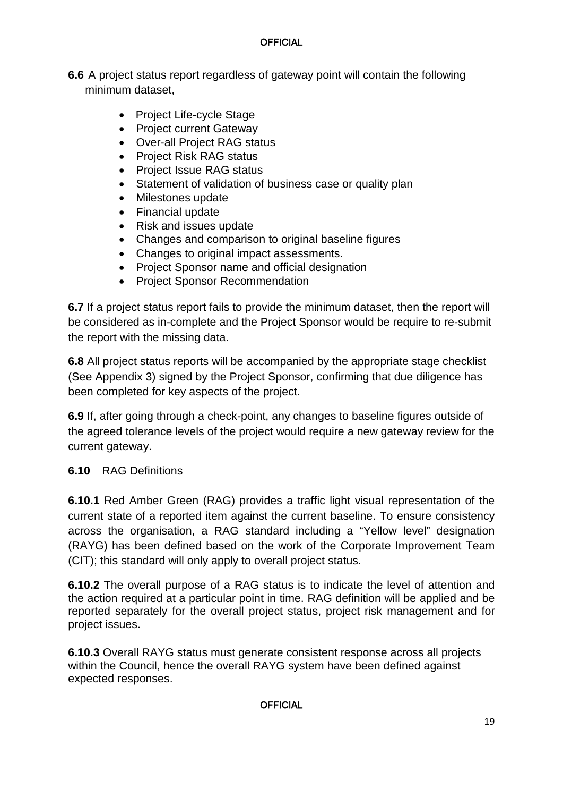- **6.6** A project status report regardless of gateway point will contain the following minimum dataset,
	- Project Life-cycle Stage
	- Project current Gateway
	- Over-all Project RAG status
	- Project Risk RAG status
	- Project Issue RAG status
	- Statement of validation of business case or quality plan
	- Milestones update
	- Financial update
	- Risk and issues update
	- Changes and comparison to original baseline figures
	- Changes to original impact assessments.
	- Project Sponsor name and official designation
	- Project Sponsor Recommendation

**6.7** If a project status report fails to provide the minimum dataset, then the report will be considered as in-complete and the Project Sponsor would be require to re-submit the report with the missing data.

**6.8** All project status reports will be accompanied by the appropriate stage checklist (See Appendix 3) signed by the Project Sponsor, confirming that due diligence has been completed for key aspects of the project.

**6.9** If, after going through a check-point, any changes to baseline figures outside of the agreed tolerance levels of the project would require a new gateway review for the current gateway.

## **6.10** RAG Definitions

**6.10.1** Red Amber Green (RAG) provides a traffic light visual representation of the current state of a reported item against the current baseline. To ensure consistency across the organisation, a RAG standard including a "Yellow level" designation (RAYG) has been defined based on the work of the Corporate Improvement Team (CIT); this standard will only apply to overall project status.

**6.10.2** The overall purpose of a RAG status is to indicate the level of attention and the action required at a particular point in time. RAG definition will be applied and be reported separately for the overall project status, project risk management and for project issues.

**6.10.3** Overall RAYG status must generate consistent response across all projects within the Council, hence the overall RAYG system have been defined against expected responses.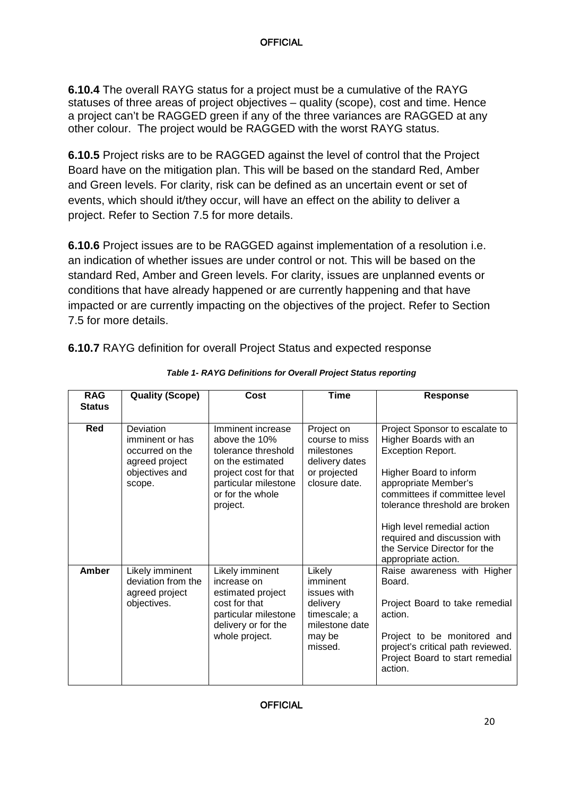**6.10.4** The overall RAYG status for a project must be a cumulative of the RAYG statuses of three areas of project objectives – quality (scope), cost and time. Hence a project can't be RAGGED green if any of the three variances are RAGGED at any other colour. The project would be RAGGED with the worst RAYG status.

**6.10.5** Project risks are to be RAGGED against the level of control that the Project Board have on the mitigation plan. This will be based on the standard Red, Amber and Green levels. For clarity, risk can be defined as an uncertain event or set of events, which should it/they occur, will have an effect on the ability to deliver a project. Refer to Section 7.5 for more details.

**6.10.6** Project issues are to be RAGGED against implementation of a resolution i.e. an indication of whether issues are under control or not. This will be based on the standard Red, Amber and Green levels. For clarity, issues are unplanned events or conditions that have already happened or are currently happening and that have impacted or are currently impacting on the objectives of the project. Refer to Section 7.5 for more details.

| 6.10.7 RAYG definition for overall Project Status and expected response |  |
|-------------------------------------------------------------------------|--|
|                                                                         |  |

| <b>RAG</b><br><b>Status</b> | <b>Quality (Scope)</b>                                                                        | Cost                                                                                                                                                           | <b>Time</b>                                                                                          | <b>Response</b>                                                                                                                                                                                                                                                                                                               |
|-----------------------------|-----------------------------------------------------------------------------------------------|----------------------------------------------------------------------------------------------------------------------------------------------------------------|------------------------------------------------------------------------------------------------------|-------------------------------------------------------------------------------------------------------------------------------------------------------------------------------------------------------------------------------------------------------------------------------------------------------------------------------|
| <b>Red</b>                  | Deviation<br>imminent or has<br>occurred on the<br>agreed project<br>objectives and<br>scope. | Imminent increase<br>above the 10%<br>tolerance threshold<br>on the estimated<br>project cost for that<br>particular milestone<br>or for the whole<br>project. | Project on<br>course to miss<br>milestones<br>delivery dates<br>or projected<br>closure date.        | Project Sponsor to escalate to<br>Higher Boards with an<br><b>Exception Report.</b><br>Higher Board to inform<br>appropriate Member's<br>committees if committee level<br>tolerance threshold are broken<br>High level remedial action<br>required and discussion with<br>the Service Director for the<br>appropriate action. |
| <b>Amber</b>                | Likely imminent<br>deviation from the<br>agreed project<br>objectives.                        | Likely imminent<br>increase on<br>estimated project<br>cost for that<br>particular milestone<br>delivery or for the<br>whole project.                          | Likely<br>imminent<br>issues with<br>delivery<br>timescale; a<br>milestone date<br>may be<br>missed. | Raise awareness with Higher<br>Board.<br>Project Board to take remedial<br>action.<br>Project to be monitored and<br>project's critical path reviewed.<br>Project Board to start remedial<br>action.                                                                                                                          |

#### *Table 1- RAYG Definitions for Overall Project Status reporting*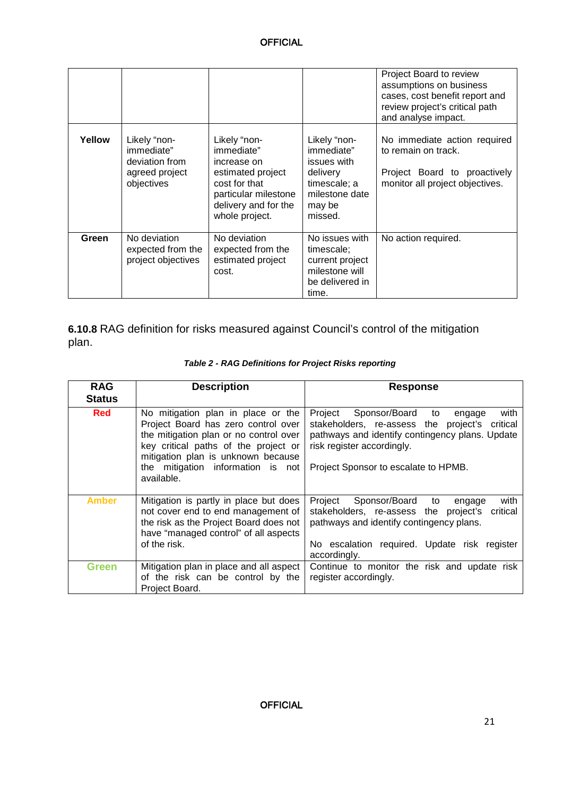|        |                                                                              |                                                                                                                                                   |                                                                                                              | Project Board to review<br>assumptions on business<br>cases, cost benefit report and<br>review project's critical path<br>and analyse impact. |
|--------|------------------------------------------------------------------------------|---------------------------------------------------------------------------------------------------------------------------------------------------|--------------------------------------------------------------------------------------------------------------|-----------------------------------------------------------------------------------------------------------------------------------------------|
| Yellow | Likely "non-<br>immediate"<br>deviation from<br>agreed project<br>objectives | Likely "non-<br>immediate"<br>increase on<br>estimated project<br>cost for that<br>particular milestone<br>delivery and for the<br>whole project. | Likely "non-<br>immediate"<br>issues with<br>delivery<br>timescale; a<br>milestone date<br>may be<br>missed. | No immediate action required<br>to remain on track.<br>Project Board to proactively<br>monitor all project objectives.                        |
| Green  | No deviation<br>expected from the<br>project objectives                      | No deviation<br>expected from the<br>estimated project<br>cost.                                                                                   | No issues with<br>timescale;<br>current project<br>milestone will<br>be delivered in<br>time.                | No action required.                                                                                                                           |

**6.10.8** RAG definition for risks measured against Council's control of the mitigation plan.

| <b>RAG</b><br><b>Status</b> | <b>Description</b>                                                                                                                                                                                                                                   | <b>Response</b>                                                                                                                                                                                                                |
|-----------------------------|------------------------------------------------------------------------------------------------------------------------------------------------------------------------------------------------------------------------------------------------------|--------------------------------------------------------------------------------------------------------------------------------------------------------------------------------------------------------------------------------|
| <b>Red</b>                  | No mitigation plan in place or the<br>Project Board has zero control over<br>the mitigation plan or no control over<br>key critical paths of the project or<br>mitigation plan is unknown because<br>the mitigation information is not<br>available. | with<br>Project<br>Sponsor/Board<br>to<br>engage<br>stakeholders, re-assess the project's<br>critical<br>pathways and identify contingency plans. Update<br>risk register accordingly.<br>Project Sponsor to escalate to HPMB. |
| <b>Amber</b>                | Mitigation is partly in place but does<br>not cover end to end management of<br>the risk as the Project Board does not<br>have "managed control" of all aspects<br>of the risk.                                                                      | with<br>Project<br>Sponsor/Board to<br>engage<br>stakeholders, re-assess the project's critical<br>pathways and identify contingency plans.<br>No escalation required. Update risk register<br>accordingly.                    |
| Green                       | Mitigation plan in place and all aspect<br>of the risk can be control by the<br>Project Board.                                                                                                                                                       | Continue to monitor the risk and update risk<br>register accordingly.                                                                                                                                                          |

#### *Table 2 - RAG Definitions for Project Risks reporting*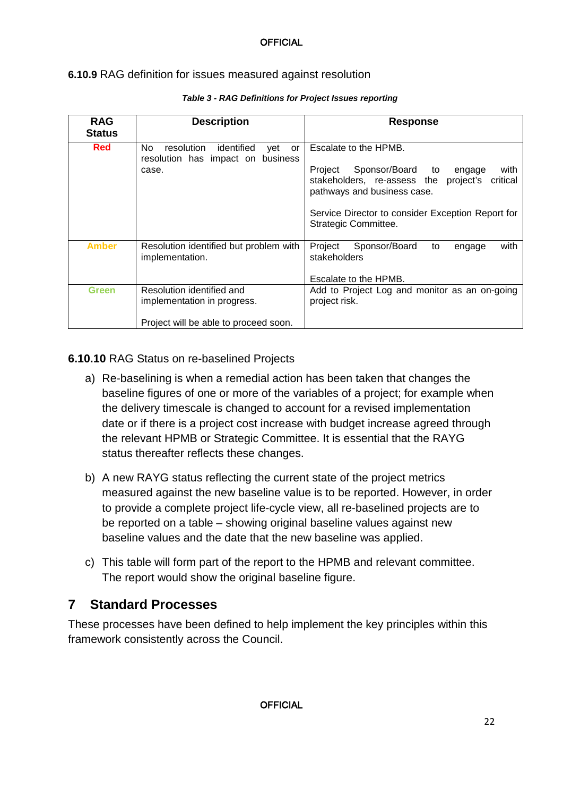#### **6.10.9** RAG definition for issues measured against resolution

| <b>RAG</b><br><b>Status</b> | <b>Description</b>                                                                                | <b>Response</b>                                                                                                                                                                                                                         |
|-----------------------------|---------------------------------------------------------------------------------------------------|-----------------------------------------------------------------------------------------------------------------------------------------------------------------------------------------------------------------------------------------|
| <b>Red</b>                  | No.<br>identified<br>resolution<br>vet<br>or<br>resolution has impact on business<br>case.        | Escalate to the HPMB.<br>Project<br>Sponsor/Board to<br>with<br>engage<br>stakeholders, re-assess the project's<br>critical<br>pathways and business case.<br>Service Director to consider Exception Report for<br>Strategic Committee. |
| <b>Amber</b>                | Resolution identified but problem with<br>implementation.                                         | Project<br>with<br>Sponsor/Board<br>to<br>engage<br>stakeholders<br>Escalate to the HPMB.                                                                                                                                               |
| <b>Green</b>                | Resolution identified and<br>implementation in progress.<br>Project will be able to proceed soon. | Add to Project Log and monitor as an on-going<br>project risk.                                                                                                                                                                          |

#### *Table 3 - RAG Definitions for Project Issues reporting*

#### **6.10.10** RAG Status on re-baselined Projects

- a) Re-baselining is when a remedial action has been taken that changes the baseline figures of one or more of the variables of a project; for example when the delivery timescale is changed to account for a revised implementation date or if there is a project cost increase with budget increase agreed through the relevant HPMB or Strategic Committee. It is essential that the RAYG status thereafter reflects these changes.
- b) A new RAYG status reflecting the current state of the project metrics measured against the new baseline value is to be reported. However, in order to provide a complete project life-cycle view, all re-baselined projects are to be reported on a table – showing original baseline values against new baseline values and the date that the new baseline was applied.
- c) This table will form part of the report to the HPMB and relevant committee. The report would show the original baseline figure.

# <span id="page-26-0"></span>**7 Standard Processes**

These processes have been defined to help implement the key principles within this framework consistently across the Council.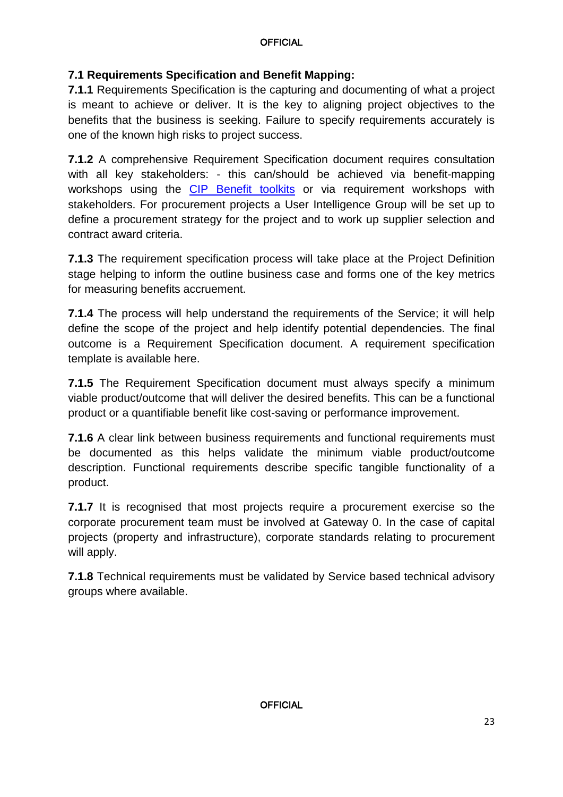### <span id="page-27-0"></span>**7.1 Requirements Specification and Benefit Mapping:**

**7.1.1** Requirements Specification is the capturing and documenting of what a project is meant to achieve or deliver. It is the key to aligning project objectives to the benefits that the business is seeking. Failure to specify requirements accurately is one of the known high risks to project success.

**7.1.2** A comprehensive Requirement Specification document requires consultation with all key stakeholders: - this can/should be achieved via benefit-mapping workshops using the [CIP Benefit toolkits](http://www.highland.gov.uk/staffsite/info/2/corporate_improvement_programme/4/corporate_improvement) or via requirement workshops with stakeholders. For procurement projects a User Intelligence Group will be set up to define a procurement strategy for the project and to work up supplier selection and contract award criteria.

**7.1.3** The requirement specification process will take place at the Project Definition stage helping to inform the outline business case and forms one of the key metrics for measuring benefits accruement.

**7.1.4** The process will help understand the requirements of the Service; it will help define the scope of the project and help identify potential dependencies. The final outcome is a Requirement Specification document. A requirement specification template is available here.

**7.1.5** The Requirement Specification document must always specify a minimum viable product/outcome that will deliver the desired benefits. This can be a functional product or a quantifiable benefit like cost-saving or performance improvement.

**7.1.6** A clear link between business requirements and functional requirements must be documented as this helps validate the minimum viable product/outcome description. Functional requirements describe specific tangible functionality of a product.

**7.1.7** It is recognised that most projects require a procurement exercise so the corporate procurement team must be involved at Gateway 0. In the case of capital projects (property and infrastructure), corporate standards relating to procurement will apply.

**7.1.8** Technical requirements must be validated by Service based technical advisory groups where available.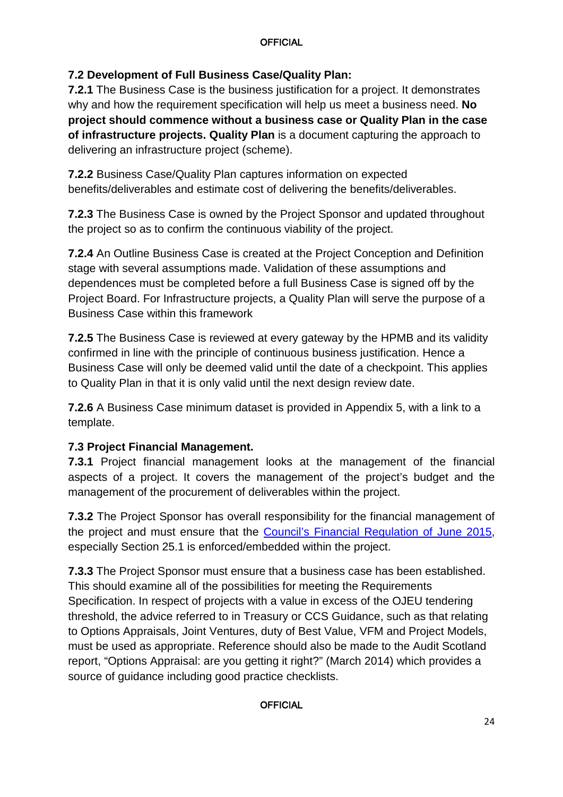# <span id="page-28-0"></span>**7.2 Development of Full Business Case/Quality Plan:**

**7.2.1** The Business Case is the business justification for a project. It demonstrates why and how the requirement specification will help us meet a business need. **No project should commence without a business case or Quality Plan in the case of infrastructure projects. Quality Plan** is a document capturing the approach to delivering an infrastructure project (scheme).

**7.2.2** Business Case/Quality Plan captures information on expected benefits/deliverables and estimate cost of delivering the benefits/deliverables.

**7.2.3** The Business Case is owned by the Project Sponsor and updated throughout the project so as to confirm the continuous viability of the project.

**7.2.4** An Outline Business Case is created at the Project Conception and Definition stage with several assumptions made. Validation of these assumptions and dependences must be completed before a full Business Case is signed off by the Project Board. For Infrastructure projects, a Quality Plan will serve the purpose of a Business Case within this framework

**7.2.5** The Business Case is reviewed at every gateway by the HPMB and its validity confirmed in line with the principle of continuous business justification. Hence a Business Case will only be deemed valid until the date of a checkpoint. This applies to Quality Plan in that it is only valid until the next design review date.

**7.2.6** A Business Case minimum dataset is provided in Appendix 5, with a link to a template.

## <span id="page-28-1"></span>**7.3 Project Financial Management.**

**7.3.1** Project financial management looks at the management of the financial aspects of a project. It covers the management of the project's budget and the management of the procurement of deliverables within the project.

**7.3.2** The Project Sponsor has overall responsibility for the financial management of the project and must ensure that the [Council's Financial Regulation of June 2015,](http://www.highland.gov.uk/staffsite/downloads/file/29/financial_regulations) especially Section 25.1 is enforced/embedded within the project.

**7.3.3** The Project Sponsor must ensure that a business case has been established. This should examine all of the possibilities for meeting the Requirements Specification. In respect of projects with a value in excess of the OJEU tendering threshold, the advice referred to in Treasury or CCS Guidance, such as that relating to Options Appraisals, Joint Ventures, duty of Best Value, VFM and Project Models, must be used as appropriate. Reference should also be made to the Audit Scotland report, "Options Appraisal: are you getting it right?" (March 2014) which provides a source of guidance including good practice checklists.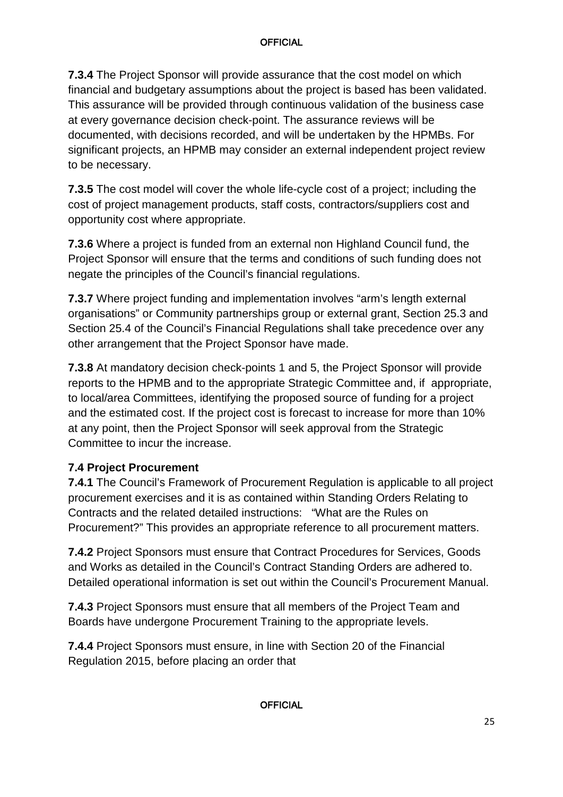**7.3.4** The Project Sponsor will provide assurance that the cost model on which financial and budgetary assumptions about the project is based has been validated. This assurance will be provided through continuous validation of the business case at every governance decision check-point. The assurance reviews will be documented, with decisions recorded, and will be undertaken by the HPMBs. For significant projects, an HPMB may consider an external independent project review to be necessary.

**7.3.5** The cost model will cover the whole life-cycle cost of a project; including the cost of project management products, staff costs, contractors/suppliers cost and opportunity cost where appropriate.

**7.3.6** Where a project is funded from an external non Highland Council fund, the Project Sponsor will ensure that the terms and conditions of such funding does not negate the principles of the Council's financial regulations.

**7.3.7** Where project funding and implementation involves "arm's length external organisations" or Community partnerships group or external grant, Section 25.3 and Section 25.4 of the Council's Financial Regulations shall take precedence over any other arrangement that the Project Sponsor have made.

**7.3.8** At mandatory decision check-points 1 and 5, the Project Sponsor will provide reports to the HPMB and to the appropriate Strategic Committee and, if appropriate, to local/area Committees, identifying the proposed source of funding for a project and the estimated cost. If the project cost is forecast to increase for more than 10% at any point, then the Project Sponsor will seek approval from the Strategic Committee to incur the increase.

## <span id="page-29-0"></span>**7.4 Project Procurement**

**7.4.1** The Council's Framework of Procurement Regulation is applicable to all project procurement exercises and it is as contained within Standing Orders Relating to Contracts and the related detailed instructions: "What are the Rules on Procurement?" This provides an appropriate reference to all procurement matters.

**7.4.2** Project Sponsors must ensure that Contract Procedures for Services, Goods and Works as detailed in the Council's Contract Standing Orders are adhered to. Detailed operational information is set out within the Council's Procurement Manual.

**7.4.3** Project Sponsors must ensure that all members of the Project Team and Boards have undergone Procurement Training to the appropriate levels.

**7.4.4** Project Sponsors must ensure, in line with Section 20 of the Financial Regulation 2015, before placing an order that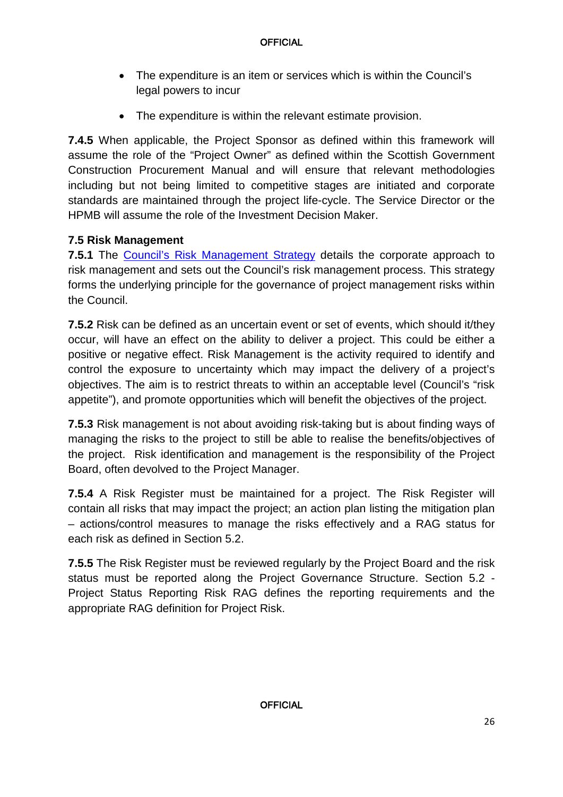- The expenditure is an item or services which is within the Council's legal powers to incur
- The expenditure is within the relevant estimate provision.

**7.4.5** When applicable, the Project Sponsor as defined within this framework will assume the role of the "Project Owner" as defined within the Scottish Government Construction Procurement Manual and will ensure that relevant methodologies including but not being limited to competitive stages are initiated and corporate standards are maintained through the project life-cycle. The Service Director or the HPMB will assume the role of the Investment Decision Maker.

#### <span id="page-30-0"></span>**7.5 Risk Management**

**7.5.1** The [Council's Risk Management Strategy](http://www.highland.gov.uk/staffsite/downloads/download/10/risk_management_strategy) details the corporate approach to risk management and sets out the Council's risk management process. This strategy forms the underlying principle for the governance of project management risks within the Council.

**7.5.2** Risk can be defined as an uncertain event or set of events, which should it/they occur, will have an effect on the ability to deliver a project. This could be either a positive or negative effect. Risk Management is the activity required to identify and control the exposure to uncertainty which may impact the delivery of a project's objectives. The aim is to restrict threats to within an acceptable level (Council's "risk appetite"), and promote opportunities which will benefit the objectives of the project.

**7.5.3** Risk management is not about avoiding risk-taking but is about finding ways of managing the risks to the project to still be able to realise the benefits/objectives of the project. Risk identification and management is the responsibility of the Project Board, often devolved to the Project Manager.

**7.5.4** A Risk Register must be maintained for a project. The Risk Register will contain all risks that may impact the project; an action plan listing the mitigation plan – actions/control measures to manage the risks effectively and a RAG status for each risk as defined in Section 5.2.

**7.5.5** The Risk Register must be reviewed regularly by the Project Board and the risk status must be reported along the Project Governance Structure. Section 5.2 - Project Status Reporting Risk RAG defines the reporting requirements and the appropriate RAG definition for Project Risk.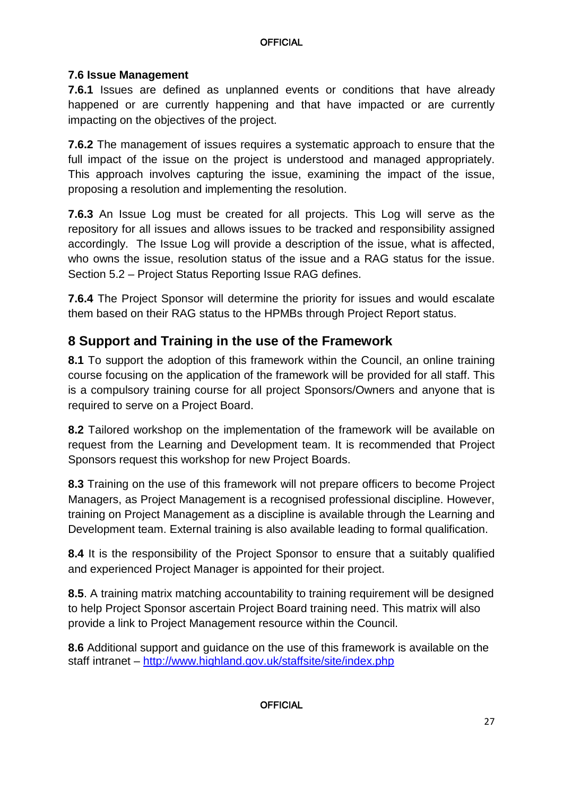#### **7.6 Issue Management**

**7.6.1** Issues are defined as unplanned events or conditions that have already happened or are currently happening and that have impacted or are currently impacting on the objectives of the project.

**7.6.2** The management of issues requires a systematic approach to ensure that the full impact of the issue on the project is understood and managed appropriately. This approach involves capturing the issue, examining the impact of the issue, proposing a resolution and implementing the resolution.

**7.6.3** An Issue Log must be created for all projects. This Log will serve as the repository for all issues and allows issues to be tracked and responsibility assigned accordingly. The Issue Log will provide a description of the issue, what is affected, who owns the issue, resolution status of the issue and a RAG status for the issue. Section 5.2 – Project Status Reporting Issue RAG defines.

**7.6.4** The Project Sponsor will determine the priority for issues and would escalate them based on their RAG status to the HPMBs through Project Report status.

# <span id="page-31-0"></span>**8 Support and Training in the use of the Framework**

**8.1** To support the adoption of this framework within the Council, an online training course focusing on the application of the framework will be provided for all staff. This is a compulsory training course for all project Sponsors/Owners and anyone that is required to serve on a Project Board.

**8.2** Tailored workshop on the implementation of the framework will be available on request from the Learning and Development team. It is recommended that Project Sponsors request this workshop for new Project Boards.

**8.3** Training on the use of this framework will not prepare officers to become Project Managers, as Project Management is a recognised professional discipline. However, training on Project Management as a discipline is available through the Learning and Development team. External training is also available leading to formal qualification.

**8.4** It is the responsibility of the Project Sponsor to ensure that a suitably qualified and experienced Project Manager is appointed for their project.

**8.5**. A training matrix matching accountability to training requirement will be designed to help Project Sponsor ascertain Project Board training need. This matrix will also provide a link to Project Management resource within the Council.

**8.6** Additional support and guidance on the use of this framework is available on the staff intranet – <http://www.highland.gov.uk/staffsite/site/index.php>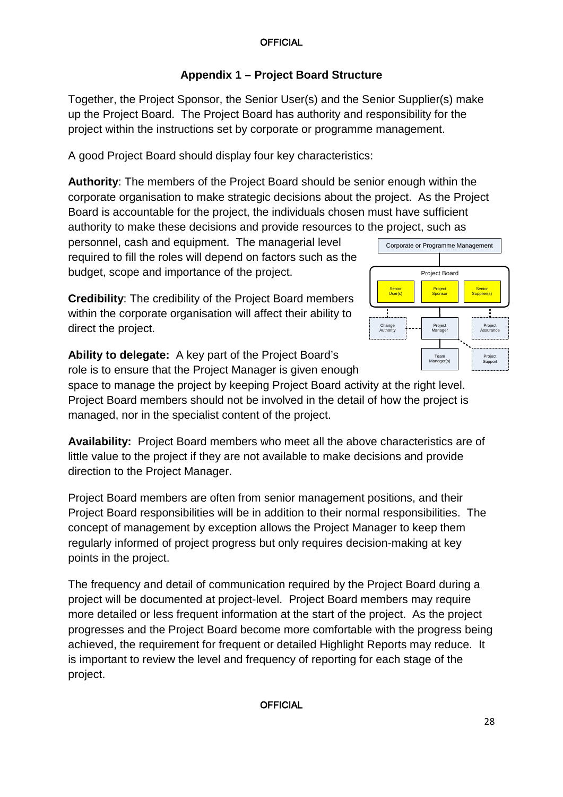# **Appendix 1 – Project Board Structure**

Together, the Project Sponsor, the Senior User(s) and the Senior Supplier(s) make up the Project Board. The Project Board has authority and responsibility for the project within the instructions set by corporate or programme management.

A good Project Board should display four key characteristics:

**Authority**: The members of the Project Board should be senior enough within the corporate organisation to make strategic decisions about the project. As the Project Board is accountable for the project, the individuals chosen must have sufficient authority to make these decisions and provide resources to the project, such as

personnel, cash and equipment. The managerial level required to fill the roles will depend on factors such as the budget, scope and importance of the project.

**Credibility**: The credibility of the Project Board members within the corporate organisation will affect their ability to direct the project.

**Ability to delegate:** A key part of the Project Board's role is to ensure that the Project Manager is given enough

space to manage the project by keeping Project Board activity at the right level. Project Board members should not be involved in the detail of how the project is managed, nor in the specialist content of the project.

**Availability:** Project Board members who meet all the above characteristics are of little value to the project if they are not available to make decisions and provide direction to the Project Manager.

Project Board members are often from senior management positions, and their Project Board responsibilities will be in addition to their normal responsibilities. The concept of management by exception allows the Project Manager to keep them regularly informed of project progress but only requires decision-making at key points in the project.

The frequency and detail of communication required by the Project Board during a project will be documented at project-level. Project Board members may require more detailed or less frequent information at the start of the project. As the project progresses and the Project Board become more comfortable with the progress being achieved, the requirement for frequent or detailed Highlight Reports may reduce. It is important to review the level and frequency of reporting for each stage of the project.

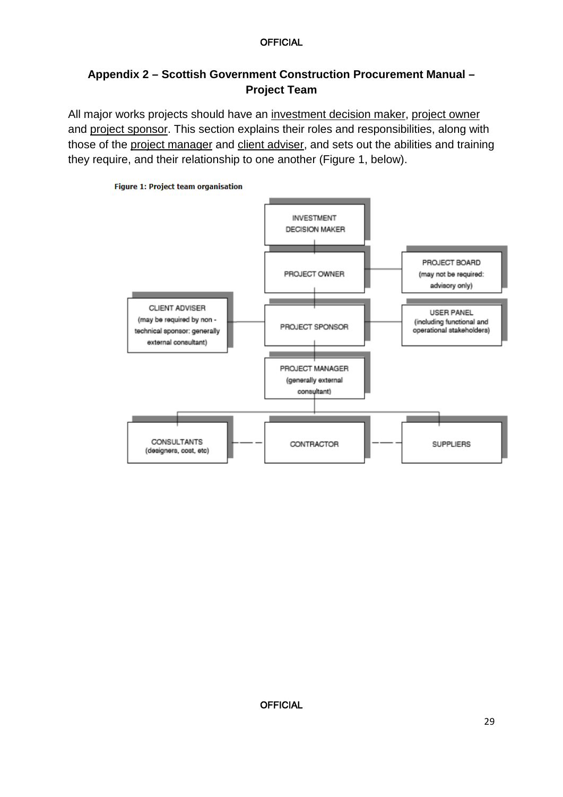#### **Appendix 2 – Scottish Government Construction Procurement Manual – Project Team**

All major works projects should have an [investment decision maker,](http://www.gov.scot/Publications/2005/11/28100404/04077#a1) [project owner](http://www.gov.scot/Publications/2005/11/28100404/04077#a2) and [project sponsor.](http://www.gov.scot/Publications/2005/11/28100404/04077#a3) This section explains their roles and responsibilities, along with those of the [project manager](http://www.gov.scot/Publications/2005/11/28100404/04077#a4) and [client adviser,](http://www.gov.scot/Publications/2005/11/28100404/04077#a5) and sets out the abilities and training they require, and their relationship to one another (Figure 1, below).



**Figure 1: Project team organisation**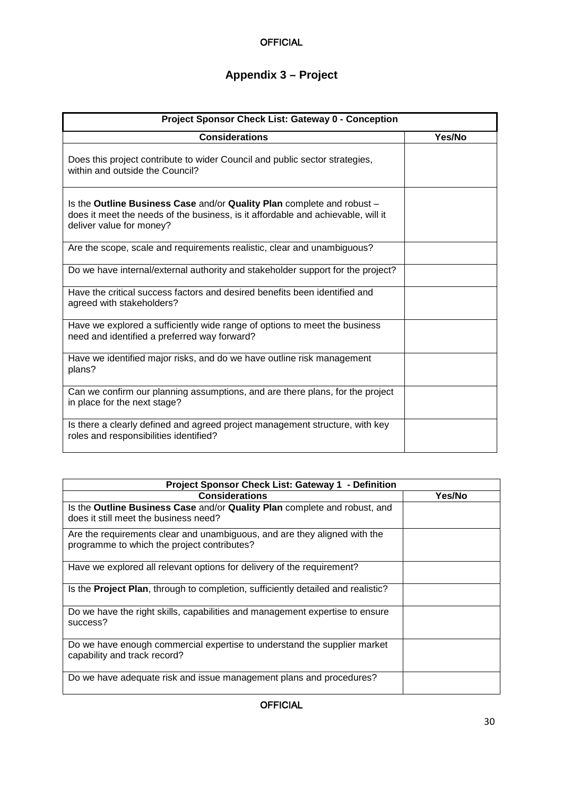# **Appendix 3 – Project**

| Project Sponsor Check List: Gateway 0 - Conception                                                                                                                                     |        |  |
|----------------------------------------------------------------------------------------------------------------------------------------------------------------------------------------|--------|--|
| <b>Considerations</b>                                                                                                                                                                  | Yes/No |  |
| Does this project contribute to wider Council and public sector strategies,<br>within and outside the Council?                                                                         |        |  |
| Is the Outline Business Case and/or Quality Plan complete and robust -<br>does it meet the needs of the business, is it affordable and achievable, will it<br>deliver value for money? |        |  |
| Are the scope, scale and requirements realistic, clear and unambiguous?                                                                                                                |        |  |
| Do we have internal/external authority and stakeholder support for the project?                                                                                                        |        |  |
| Have the critical success factors and desired benefits been identified and<br>agreed with stakeholders?                                                                                |        |  |
| Have we explored a sufficiently wide range of options to meet the business<br>need and identified a preferred way forward?                                                             |        |  |
| Have we identified major risks, and do we have outline risk management<br>plans?                                                                                                       |        |  |
| Can we confirm our planning assumptions, and are there plans, for the project<br>in place for the next stage?                                                                          |        |  |
| Is there a clearly defined and agreed project management structure, with key<br>roles and responsibilities identified?                                                                 |        |  |

| Project Sponsor Check List: Gateway 1 - Definition                                                                       |        |  |
|--------------------------------------------------------------------------------------------------------------------------|--------|--|
| <b>Considerations</b>                                                                                                    | Yes/No |  |
| Is the Outline Business Case and/or Quality Plan complete and robust, and<br>does it still meet the business need?       |        |  |
| Are the requirements clear and unambiguous, and are they aligned with the<br>programme to which the project contributes? |        |  |
| Have we explored all relevant options for delivery of the requirement?                                                   |        |  |
| Is the <b>Project Plan</b> , through to completion, sufficiently detailed and realistic?                                 |        |  |
| Do we have the right skills, capabilities and management expertise to ensure<br>success?                                 |        |  |
| Do we have enough commercial expertise to understand the supplier market<br>capability and track record?                 |        |  |
| Do we have adequate risk and issue management plans and procedures?                                                      |        |  |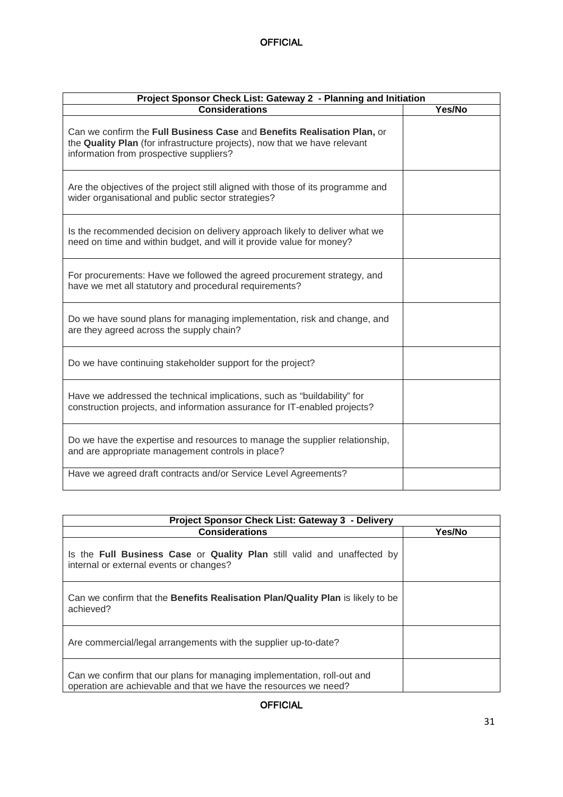| Project Sponsor Check List: Gateway 2 - Planning and Initiation                                                                                                                                 |        |  |  |
|-------------------------------------------------------------------------------------------------------------------------------------------------------------------------------------------------|--------|--|--|
| <b>Considerations</b>                                                                                                                                                                           | Yes/No |  |  |
| Can we confirm the Full Business Case and Benefits Realisation Plan, or<br>the Quality Plan (for infrastructure projects), now that we have relevant<br>information from prospective suppliers? |        |  |  |
| Are the objectives of the project still aligned with those of its programme and<br>wider organisational and public sector strategies?                                                           |        |  |  |
| Is the recommended decision on delivery approach likely to deliver what we<br>need on time and within budget, and will it provide value for money?                                              |        |  |  |
| For procurements: Have we followed the agreed procurement strategy, and<br>have we met all statutory and procedural requirements?                                                               |        |  |  |
| Do we have sound plans for managing implementation, risk and change, and<br>are they agreed across the supply chain?                                                                            |        |  |  |
| Do we have continuing stakeholder support for the project?                                                                                                                                      |        |  |  |
| Have we addressed the technical implications, such as "buildability" for<br>construction projects, and information assurance for IT-enabled projects?                                           |        |  |  |
| Do we have the expertise and resources to manage the supplier relationship,<br>and are appropriate management controls in place?                                                                |        |  |  |
| Have we agreed draft contracts and/or Service Level Agreements?                                                                                                                                 |        |  |  |

| <b>Project Sponsor Check List: Gateway 3 - Delivery</b>                                                                                     |        |  |
|---------------------------------------------------------------------------------------------------------------------------------------------|--------|--|
| <b>Considerations</b>                                                                                                                       | Yes/No |  |
| Is the Full Business Case or Quality Plan still valid and unaffected by<br>internal or external events or changes?                          |        |  |
| Can we confirm that the <b>Benefits Realisation Plan/Quality Plan</b> is likely to be<br>achieved?                                          |        |  |
| Are commercial/legal arrangements with the supplier up-to-date?                                                                             |        |  |
| Can we confirm that our plans for managing implementation, roll-out and<br>operation are achievable and that we have the resources we need? |        |  |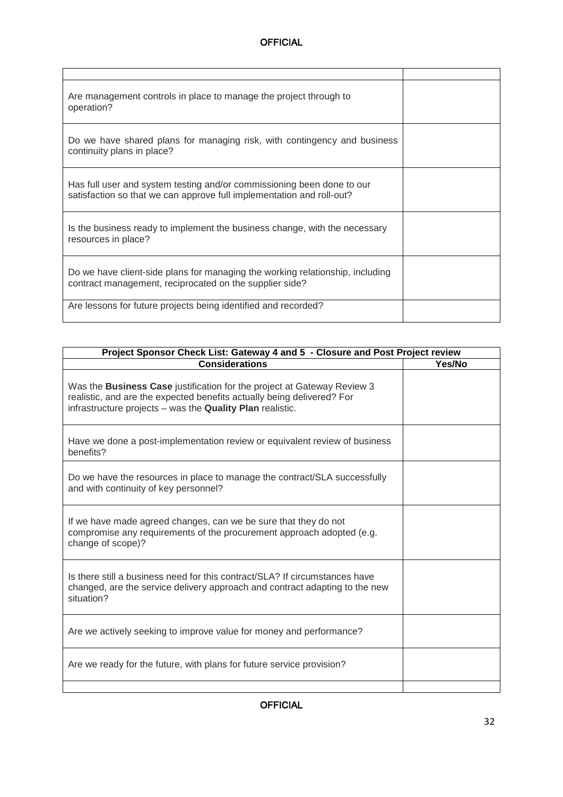| Are management controls in place to manage the project through to<br>operation?                                                                 |  |
|-------------------------------------------------------------------------------------------------------------------------------------------------|--|
| Do we have shared plans for managing risk, with contingency and business<br>continuity plans in place?                                          |  |
| Has full user and system testing and/or commissioning been done to our<br>satisfaction so that we can approve full implementation and roll-out? |  |
| Is the business ready to implement the business change, with the necessary<br>resources in place?                                               |  |
| Do we have client-side plans for managing the working relationship, including<br>contract management, reciprocated on the supplier side?        |  |
| Are lessons for future projects being identified and recorded?                                                                                  |  |

| Project Sponsor Check List: Gateway 4 and 5 - Closure and Post Project review                                                                                                                                           |        |  |
|-------------------------------------------------------------------------------------------------------------------------------------------------------------------------------------------------------------------------|--------|--|
| <b>Considerations</b>                                                                                                                                                                                                   | Yes/No |  |
| Was the <b>Business Case</b> justification for the project at Gateway Review 3<br>realistic, and are the expected benefits actually being delivered? For<br>infrastructure projects $-$ was the Quality Plan realistic. |        |  |
| Have we done a post-implementation review or equivalent review of business<br>benefits?                                                                                                                                 |        |  |
| Do we have the resources in place to manage the contract/SLA successfully<br>and with continuity of key personnel?                                                                                                      |        |  |
| If we have made agreed changes, can we be sure that they do not<br>compromise any requirements of the procurement approach adopted (e.g.<br>change of scope)?                                                           |        |  |
| Is there still a business need for this contract/SLA? If circumstances have<br>changed, are the service delivery approach and contract adapting to the new<br>situation?                                                |        |  |
| Are we actively seeking to improve value for money and performance?                                                                                                                                                     |        |  |
| Are we ready for the future, with plans for future service provision?                                                                                                                                                   |        |  |
|                                                                                                                                                                                                                         |        |  |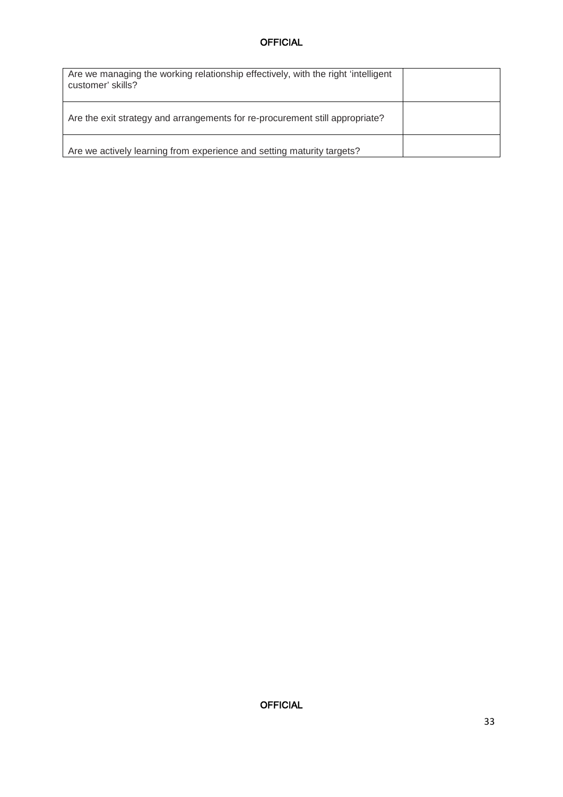| Are we managing the working relationship effectively, with the right 'intelligent<br>customer' skills? |  |
|--------------------------------------------------------------------------------------------------------|--|
| Are the exit strategy and arrangements for re-procurement still appropriate?                           |  |
| Are we actively learning from experience and setting maturity targets?                                 |  |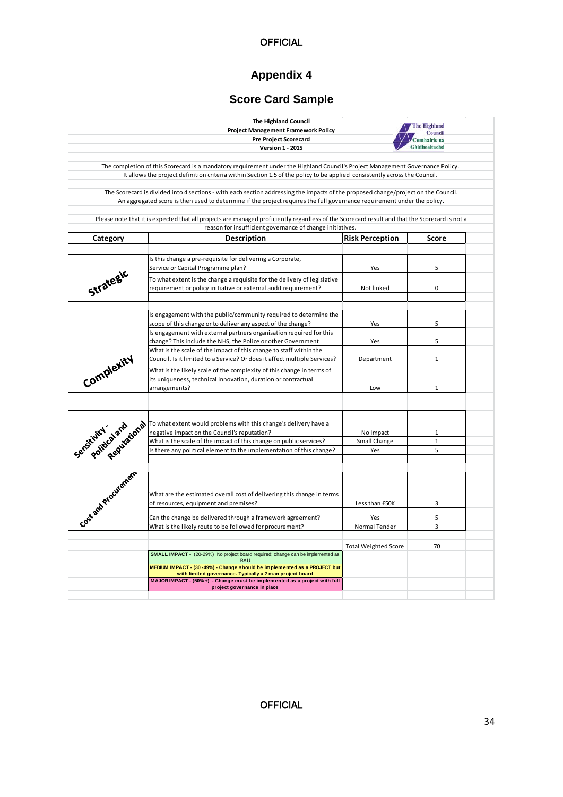# **Appendix 4**

#### **Score Card Sample**

|                                                       | <b>The Highland Council</b>                                                                                                                     |                             | <b>The Highland</b> |  |
|-------------------------------------------------------|-------------------------------------------------------------------------------------------------------------------------------------------------|-----------------------------|---------------------|--|
| <b>Project Management Framework Policy</b><br>Council |                                                                                                                                                 |                             |                     |  |
|                                                       | <b>Pre Project Scorecard</b>                                                                                                                    |                             | omhairle na         |  |
|                                                       | <b>Version 1 - 2015</b>                                                                                                                         |                             | Gàidhealtachd       |  |
|                                                       |                                                                                                                                                 |                             |                     |  |
|                                                       | The completion of this Scorecard is a mandatory requirement under the Highland Council's Project Management Governance Policy.                  |                             |                     |  |
|                                                       | It allows the project definition criteria within Section 1.5 of the policy to be applied consistently across the Council.                       |                             |                     |  |
|                                                       |                                                                                                                                                 |                             |                     |  |
|                                                       | The Scorecard is divided into 4 sections - with each section addressing the impacts of the proposed change/project on the Council.              |                             |                     |  |
|                                                       | An aggregated score is then used to determine if the project requires the full governance requirement under the policy.                         |                             |                     |  |
|                                                       | Please note that it is expected that all projects are managed proficiently regardless of the Scorecard result and that the Scorecard is not a   |                             |                     |  |
|                                                       | reason for insufficient governance of change initiatives.                                                                                       |                             |                     |  |
|                                                       |                                                                                                                                                 |                             |                     |  |
| Category                                              | <b>Description</b>                                                                                                                              | <b>Risk Perception</b>      | Score               |  |
|                                                       |                                                                                                                                                 |                             |                     |  |
|                                                       | Is this change a pre-requisite for delivering a Corporate,                                                                                      |                             |                     |  |
|                                                       | Service or Capital Programme plan?                                                                                                              | Yes                         | 5                   |  |
| Strategic                                             | To what extent is the change a requisite for the delivery of legislative                                                                        |                             |                     |  |
|                                                       | requirement or policy initiative or external audit requirement?                                                                                 | Not linked                  | $\mathbf 0$         |  |
|                                                       |                                                                                                                                                 |                             |                     |  |
|                                                       |                                                                                                                                                 |                             |                     |  |
|                                                       | Is engagement with the public/community required to determine the                                                                               |                             |                     |  |
|                                                       | scope of this change or to deliver any aspect of the change?                                                                                    | Yes                         | 5                   |  |
|                                                       | Is engagement with external partners organisation required for this                                                                             |                             |                     |  |
|                                                       | change? This include the NHS, the Police or other Government                                                                                    | Yes                         | 5                   |  |
|                                                       | What is the scale of the impact of this change to staff within the<br>Council. Is it limited to a Service? Or does it affect multiple Services? |                             |                     |  |
| Complexity                                            |                                                                                                                                                 | Department                  | $\mathbf{1}$        |  |
|                                                       | What is the likely scale of the complexity of this change in terms of                                                                           |                             |                     |  |
|                                                       | its uniqueness, technical innovation, duration or contractual                                                                                   |                             |                     |  |
|                                                       | arrangements?                                                                                                                                   | Low                         | $\mathbf{1}$        |  |
|                                                       |                                                                                                                                                 |                             |                     |  |
|                                                       |                                                                                                                                                 |                             |                     |  |
| Sensitivity and draw                                  | To what extent would problems with this change's delivery have a                                                                                |                             |                     |  |
|                                                       | negative impact on the Council's reputation?                                                                                                    | No Impact                   | 1                   |  |
|                                                       | What is the scale of the impact of this change on public services?                                                                              | Small Change                | $\mathbf{1}$        |  |
|                                                       | Is there any political element to the implementation of this change?                                                                            | Yes                         | 5                   |  |
|                                                       |                                                                                                                                                 |                             |                     |  |
|                                                       |                                                                                                                                                 |                             |                     |  |
|                                                       |                                                                                                                                                 |                             |                     |  |
|                                                       |                                                                                                                                                 |                             |                     |  |
|                                                       | What are the estimated overall cost of delivering this change in terms                                                                          |                             |                     |  |
|                                                       | of resources, equipment and premises?                                                                                                           | Less than £50K              | 3                   |  |
|                                                       |                                                                                                                                                 |                             |                     |  |
|                                                       | Can the change be delivered through a framework agreement?<br>What is the likely route to be followed for procurement?                          | Yes<br>Normal Tender        | 5<br>3              |  |
| Cost and Procurement                                  |                                                                                                                                                 |                             |                     |  |
|                                                       |                                                                                                                                                 | <b>Total Weighted Score</b> | 70                  |  |
|                                                       | SMALL IMPACT - (20-29%) No project board required; change can be implemented as                                                                 |                             |                     |  |
|                                                       | BAU                                                                                                                                             |                             |                     |  |
|                                                       | MEDIUM IMPACT - (30-49%) - Change should be implemented as a PROJECT but                                                                        |                             |                     |  |
|                                                       | with limited governance. Typically a 2 man project board<br>MAJOR IMPACT - (50%+) - Change must be implemented as a project with full           |                             |                     |  |
|                                                       | project governance in place                                                                                                                     |                             |                     |  |
|                                                       |                                                                                                                                                 |                             |                     |  |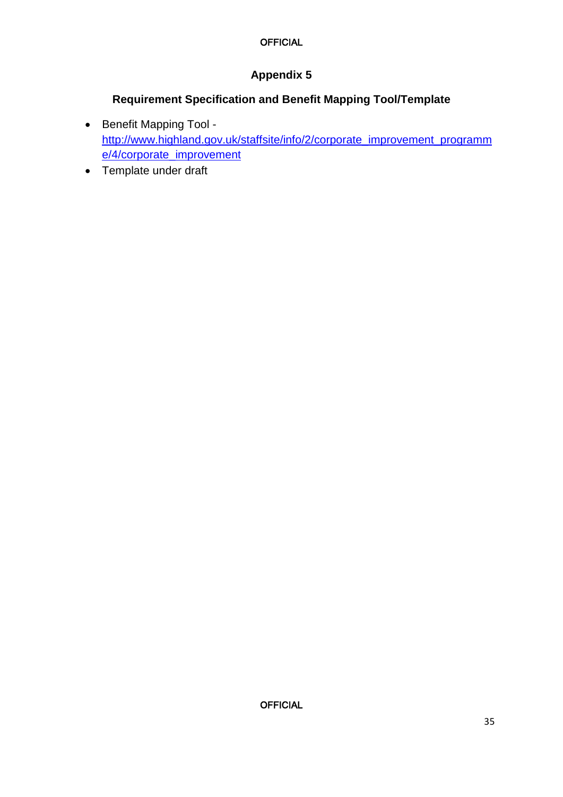# **Appendix 5**

# **Requirement Specification and Benefit Mapping Tool/Template**

- Benefit Mapping Tool [http://www.highland.gov.uk/staffsite/info/2/corporate\\_improvement\\_programm](http://www.highland.gov.uk/staffsite/info/2/corporate_improvement_programme/4/corporate_improvement) [e/4/corporate\\_improvement](http://www.highland.gov.uk/staffsite/info/2/corporate_improvement_programme/4/corporate_improvement)
- Template under draft